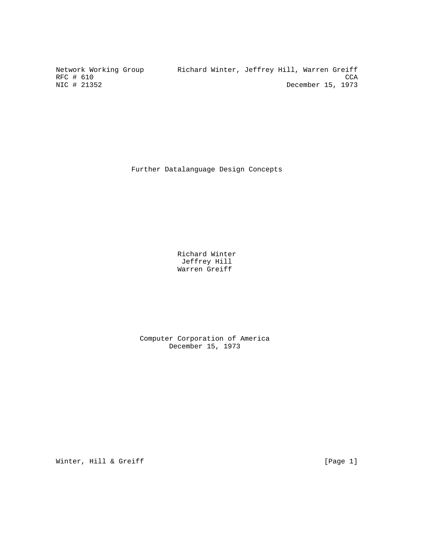Network Working Group Richard Winter, Jeffrey Hill, Warren Greiff RFC # 610 CCA<br>NIC # 21352 CCA December 15, 1973 December 15, 1973

Further Datalanguage Design Concepts

 Richard Winter Jeffrey Hill Warren Greiff

 Computer Corporation of America December 15, 1973

Winter, Hill & Greiff [Page 1]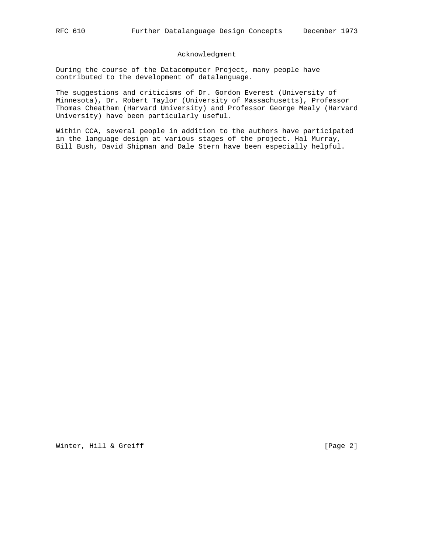## Acknowledgment

During the course of the Datacomputer Project, many people have contributed to the development of datalanguage.

The suggestions and criticisms of Dr. Gordon Everest (University of Minnesota), Dr. Robert Taylor (University of Massachusetts), Professor Thomas Cheatham (Harvard University) and Professor George Mealy (Harvard University) have been particularly useful.

Within CCA, several people in addition to the authors have participated in the language design at various stages of the project. Hal Murray, Bill Bush, David Shipman and Dale Stern have been especially helpful.

Winter, Hill & Greiff [Page 2]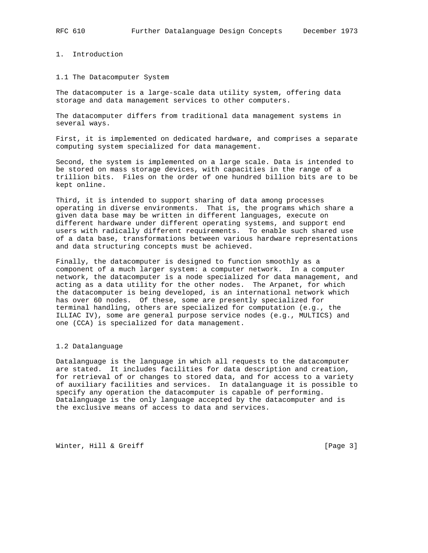1. Introduction

## 1.1 The Datacomputer System

The datacomputer is a large-scale data utility system, offering data storage and data management services to other computers.

The datacomputer differs from traditional data management systems in several ways.

First, it is implemented on dedicated hardware, and comprises a separate computing system specialized for data management.

Second, the system is implemented on a large scale. Data is intended to be stored on mass storage devices, with capacities in the range of a trillion bits. Files on the order of one hundred billion bits are to be kept online.

Third, it is intended to support sharing of data among processes operating in diverse environments. That is, the programs which share a given data base may be written in different languages, execute on different hardware under different operating systems, and support end users with radically different requirements. To enable such shared use of a data base, transformations between various hardware representations and data structuring concepts must be achieved.

Finally, the datacomputer is designed to function smoothly as a component of a much larger system: a computer network. In a computer network, the datacomputer is a node specialized for data management, and acting as a data utility for the other nodes. The Arpanet, for which the datacomputer is being developed, is an international network which has over 60 nodes. Of these, some are presently specialized for terminal handling, others are specialized for computation (e.g., the ILLIAC IV), some are general purpose service nodes (e.g., MULTICS) and one (CCA) is specialized for data management.

#### 1.2 Datalanguage

Datalanguage is the language in which all requests to the datacomputer are stated. It includes facilities for data description and creation, for retrieval of or changes to stored data, and for access to a variety of auxiliary facilities and services. In datalanguage it is possible to specify any operation the datacomputer is capable of performing. Datalanguage is the only language accepted by the datacomputer and is the exclusive means of access to data and services.

Winter, Hill & Greiff [Page 3]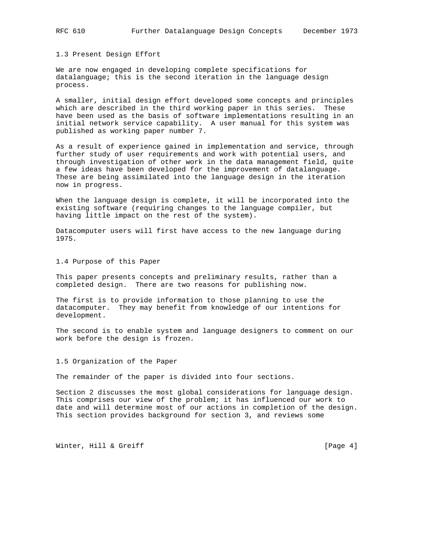1.3 Present Design Effort

We are now engaged in developing complete specifications for datalanguage; this is the second iteration in the language design process.

A smaller, initial design effort developed some concepts and principles which are described in the third working paper in this series. These have been used as the basis of software implementations resulting in an initial network service capability. A user manual for this system was published as working paper number 7.

As a result of experience gained in implementation and service, through further study of user requirements and work with potential users, and through investigation of other work in the data management field, quite a few ideas have been developed for the improvement of datalanguage. These are being assimilated into the language design in the iteration now in progress.

When the language design is complete, it will be incorporated into the existing software (requiring changes to the language compiler, but having little impact on the rest of the system).

Datacomputer users will first have access to the new language during 1975.

1.4 Purpose of this Paper

This paper presents concepts and preliminary results, rather than a completed design. There are two reasons for publishing now.

The first is to provide information to those planning to use the datacomputer. They may benefit from knowledge of our intentions for development.

The second is to enable system and language designers to comment on our work before the design is frozen.

1.5 Organization of the Paper

The remainder of the paper is divided into four sections.

Section 2 discusses the most global considerations for language design. This comprises our view of the problem; it has influenced our work to date and will determine most of our actions in completion of the design. This section provides background for section 3, and reviews some

Winter, Hill & Greiff [Page 4]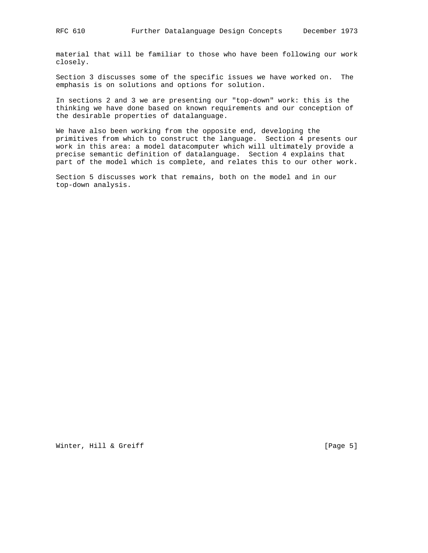material that will be familiar to those who have been following our work closely.

Section 3 discusses some of the specific issues we have worked on. The emphasis is on solutions and options for solution.

In sections 2 and 3 we are presenting our "top-down" work: this is the thinking we have done based on known requirements and our conception of the desirable properties of datalanguage.

We have also been working from the opposite end, developing the primitives from which to construct the language. Section 4 presents our work in this area: a model datacomputer which will ultimately provide a precise semantic definition of datalanguage. Section 4 explains that part of the model which is complete, and relates this to our other work.

Section 5 discusses work that remains, both on the model and in our top-down analysis.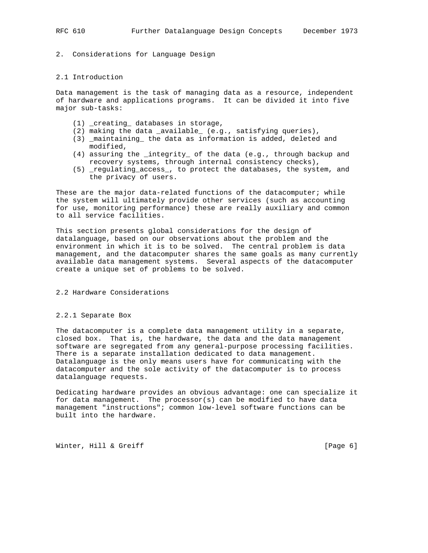## 2. Considerations for Language Design

## 2.1 Introduction

Data management is the task of managing data as a resource, independent of hardware and applications programs. It can be divided it into five major sub-tasks:

- (1) \_creating\_ databases in storage,
- (2) making the data \_available\_ (e.g., satisfying queries),
- (3) \_maintaining\_ the data as information is added, deleted and modified,
- (4) assuring the \_integrity\_ of the data (e.g., through backup and recovery systems, through internal consistency checks),
- (5) \_regulating\_access\_, to protect the databases, the system, and the privacy of users.

These are the major data-related functions of the datacomputer; while the system will ultimately provide other services (such as accounting for use, monitoring performance) these are really auxiliary and common to all service facilities.

This section presents global considerations for the design of datalanguage, based on our observations about the problem and the environment in which it is to be solved. The central problem is data management, and the datacomputer shares the same goals as many currently available data management systems. Several aspects of the datacomputer create a unique set of problems to be solved.

#### 2.2 Hardware Considerations

## 2.2.1 Separate Box

The datacomputer is a complete data management utility in a separate, closed box. That is, the hardware, the data and the data management software are segregated from any general-purpose processing facilities. There is a separate installation dedicated to data management. Datalanguage is the only means users have for communicating with the datacomputer and the sole activity of the datacomputer is to process datalanguage requests.

Dedicating hardware provides an obvious advantage: one can specialize it for data management. The processor(s) can be modified to have data management "instructions"; common low-level software functions can be built into the hardware.

Winter, Hill & Greiff [Page 6]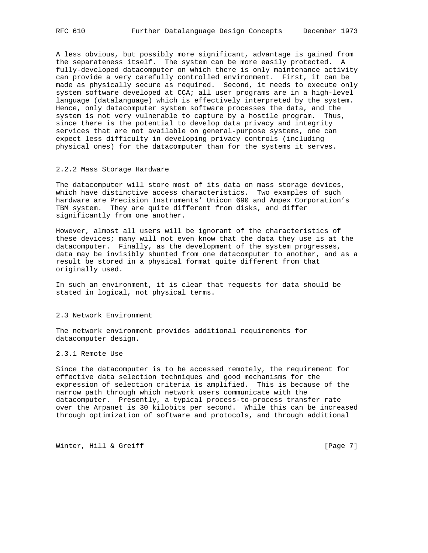A less obvious, but possibly more significant, advantage is gained from the separateness itself. The system can be more easily protected. A fully-developed datacomputer on which there is only maintenance activity can provide a very carefully controlled environment. First, it can be made as physically secure as required. Second, it needs to execute only system software developed at CCA; all user programs are in a high-level language (datalanguage) which is effectively interpreted by the system. Hence, only datacomputer system software processes the data, and the system is not very vulnerable to capture by a hostile program. Thus, since there is the potential to develop data privacy and integrity services that are not available on general-purpose systems, one can expect less difficulty in developing privacy controls (including physical ones) for the datacomputer than for the systems it serves.

## 2.2.2 Mass Storage Hardware

The datacomputer will store most of its data on mass storage devices, which have distinctive access characteristics. Two examples of such hardware are Precision Instruments' Unicon 690 and Ampex Corporation's TBM system. They are quite different from disks, and differ significantly from one another.

However, almost all users will be ignorant of the characteristics of these devices; many will not even know that the data they use is at the datacomputer. Finally, as the development of the system progresses, data may be invisibly shunted from one datacomputer to another, and as a result be stored in a physical format quite different from that originally used.

In such an environment, it is clear that requests for data should be stated in logical, not physical terms.

#### 2.3 Network Environment

The network environment provides additional requirements for datacomputer design.

## 2.3.1 Remote Use

Since the datacomputer is to be accessed remotely, the requirement for effective data selection techniques and good mechanisms for the expression of selection criteria is amplified. This is because of the narrow path through which network users communicate with the datacomputer. Presently, a typical process-to-process transfer rate over the Arpanet is 30 kilobits per second. While this can be increased through optimization of software and protocols, and through additional

Winter, Hill & Greiff [Page 7]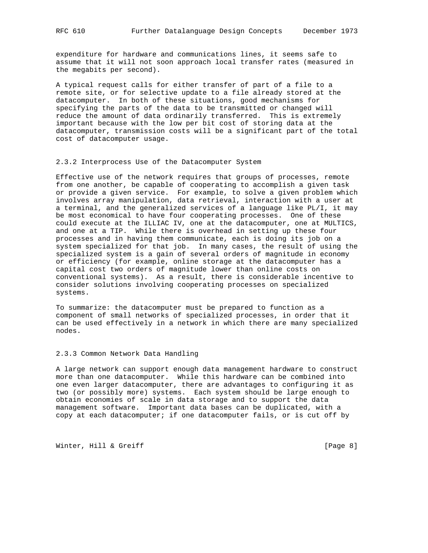expenditure for hardware and communications lines, it seems safe to assume that it will not soon approach local transfer rates (measured in the megabits per second).

A typical request calls for either transfer of part of a file to a remote site, or for selective update to a file already stored at the datacomputer. In both of these situations, good mechanisms for specifying the parts of the data to be transmitted or changed will reduce the amount of data ordinarily transferred. This is extremely important because with the low per bit cost of storing data at the datacomputer, transmission costs will be a significant part of the total cost of datacomputer usage.

## 2.3.2 Interprocess Use of the Datacomputer System

Effective use of the network requires that groups of processes, remote from one another, be capable of cooperating to accomplish a given task or provide a given service. For example, to solve a given problem which involves array manipulation, data retrieval, interaction with a user at a terminal, and the generalized services of a language like PL/I, it may be most economical to have four cooperating processes. One of these could execute at the ILLIAC IV, one at the datacomputer, one at MULTICS, and one at a TIP. While there is overhead in setting up these four processes and in having them communicate, each is doing its job on a system specialized for that job. In many cases, the result of using the specialized system is a gain of several orders of magnitude in economy or efficiency (for example, online storage at the datacomputer has a capital cost two orders of magnitude lower than online costs on conventional systems). As a result, there is considerable incentive to consider solutions involving cooperating processes on specialized systems.

To summarize: the datacomputer must be prepared to function as a component of small networks of specialized processes, in order that it can be used effectively in a network in which there are many specialized nodes.

## 2.3.3 Common Network Data Handling

A large network can support enough data management hardware to construct more than one datacomputer. While this hardware can be combined into one even larger datacomputer, there are advantages to configuring it as two (or possibly more) systems. Each system should be large enough to obtain economies of scale in data storage and to support the data management software. Important data bases can be duplicated, with a copy at each datacomputer; if one datacomputer fails, or is cut off by

Winter, Hill & Greiff [Page 8]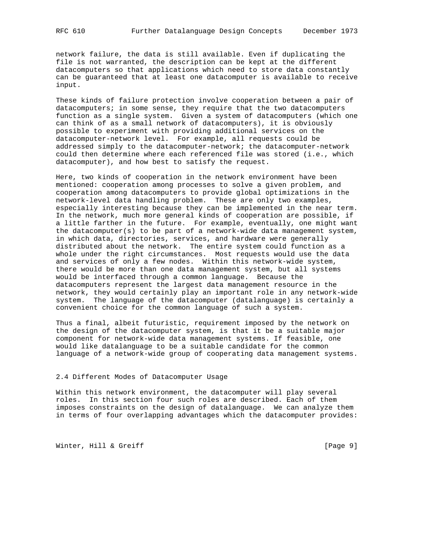network failure, the data is still available. Even if duplicating the file is not warranted, the description can be kept at the different datacomputers so that applications which need to store data constantly can be guaranteed that at least one datacomputer is available to receive input.

These kinds of failure protection involve cooperation between a pair of datacomputers; in some sense, they require that the two datacomputers function as a single system. Given a system of datacomputers (which one can think of as a small network of datacomputers), it is obviously possible to experiment with providing additional services on the datacomputer-network level. For example, all requests could be addressed simply to the datacomputer-network; the datacomputer-network could then determine where each referenced file was stored (i.e., which datacomputer), and how best to satisfy the request.

Here, two kinds of cooperation in the network environment have been mentioned: cooperation among processes to solve a given problem, and cooperation among datacomputers to provide global optimizations in the network-level data handling problem. These are only two examples, especially interesting because they can be implemented in the near term. In the network, much more general kinds of cooperation are possible, if a little farther in the future. For example, eventually, one might want the datacomputer(s) to be part of a network-wide data management system, in which data, directories, services, and hardware were generally distributed about the network. The entire system could function as a whole under the right circumstances. Most requests would use the data and services of only a few nodes. Within this network-wide system, there would be more than one data management system, but all systems would be interfaced through a common language. Because the datacomputers represent the largest data management resource in the network, they would certainly play an important role in any network-wide system. The language of the datacomputer (datalanguage) is certainly a convenient choice for the common language of such a system.

Thus a final, albeit futuristic, requirement imposed by the network on the design of the datacomputer system, is that it be a suitable major component for network-wide data management systems. If feasible, one would like datalanguage to be a suitable candidate for the common language of a network-wide group of cooperating data management systems.

## 2.4 Different Modes of Datacomputer Usage

Within this network environment, the datacomputer will play several roles. In this section four such roles are described. Each of them imposes constraints on the design of datalanguage. We can analyze them in terms of four overlapping advantages which the datacomputer provides:

Winter, Hill & Greiff [Page 9]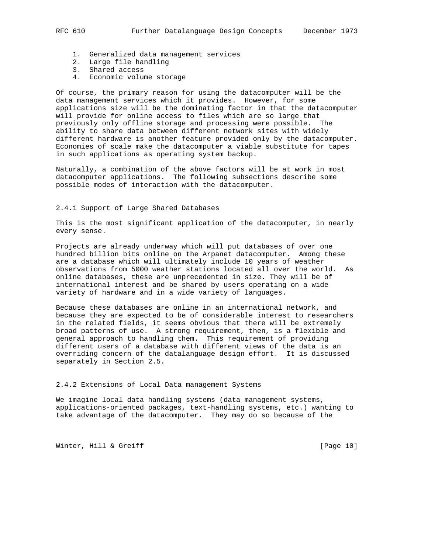- 1. Generalized data management services
- 2. Large file handling
- 3. Shared access
	- 4. Economic volume storage

Of course, the primary reason for using the datacomputer will be the data management services which it provides. However, for some applications size will be the dominating factor in that the datacomputer will provide for online access to files which are so large that previously only offline storage and processing were possible. The ability to share data between different network sites with widely different hardware is another feature provided only by the datacomputer. Economies of scale make the datacomputer a viable substitute for tapes in such applications as operating system backup.

Naturally, a combination of the above factors will be at work in most datacomputer applications. The following subsections describe some possible modes of interaction with the datacomputer.

## 2.4.1 Support of Large Shared Databases

This is the most significant application of the datacomputer, in nearly every sense.

Projects are already underway which will put databases of over one hundred billion bits online on the Arpanet datacomputer. Among these are a database which will ultimately include 10 years of weather observations from 5000 weather stations located all over the world. As online databases, these are unprecedented in size. They will be of international interest and be shared by users operating on a wide variety of hardware and in a wide variety of languages.

Because these databases are online in an international network, and because they are expected to be of considerable interest to researchers in the related fields, it seems obvious that there will be extremely broad patterns of use. A strong requirement, then, is a flexible and general approach to handling them. This requirement of providing different users of a database with different views of the data is an overriding concern of the datalanguage design effort. It is discussed separately in Section 2.5.

#### 2.4.2 Extensions of Local Data management Systems

We imagine local data handling systems (data management systems, applications-oriented packages, text-handling systems, etc.) wanting to take advantage of the datacomputer. They may do so because of the

Winter, Hill & Greiff [Page 10]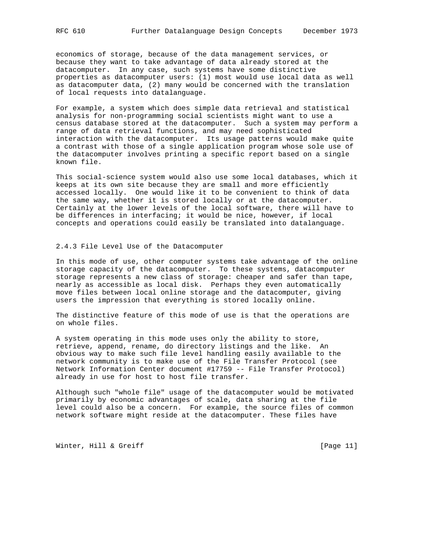economics of storage, because of the data management services, or because they want to take advantage of data already stored at the datacomputer. In any case, such systems have some distinctive properties as datacomputer users: (1) most would use local data as well as datacomputer data, (2) many would be concerned with the translation of local requests into datalanguage.

For example, a system which does simple data retrieval and statistical analysis for non-programming social scientists might want to use a census database stored at the datacomputer. Such a system may perform a range of data retrieval functions, and may need sophisticated interaction with the datacomputer. Its usage patterns would make quite a contrast with those of a single application program whose sole use of the datacomputer involves printing a specific report based on a single known file.

This social-science system would also use some local databases, which it keeps at its own site because they are small and more efficiently accessed locally. One would like it to be convenient to think of data the same way, whether it is stored locally or at the datacomputer. Certainly at the lower levels of the local software, there will have to be differences in interfacing; it would be nice, however, if local concepts and operations could easily be translated into datalanguage.

## 2.4.3 File Level Use of the Datacomputer

In this mode of use, other computer systems take advantage of the online storage capacity of the datacomputer. To these systems, datacomputer storage represents a new class of storage: cheaper and safer than tape, nearly as accessible as local disk. Perhaps they even automatically move files between local online storage and the datacomputer, giving users the impression that everything is stored locally online.

The distinctive feature of this mode of use is that the operations are on whole files.

A system operating in this mode uses only the ability to store, retrieve, append, rename, do directory listings and the like. An obvious way to make such file level handling easily available to the network community is to make use of the File Transfer Protocol (see Network Information Center document #17759 -- File Transfer Protocol) already in use for host to host file transfer.

Although such "whole file" usage of the datacomputer would be motivated primarily by economic advantages of scale, data sharing at the file level could also be a concern. For example, the source files of common network software might reside at the datacomputer. These files have

Winter, Hill & Greiff [Page 11]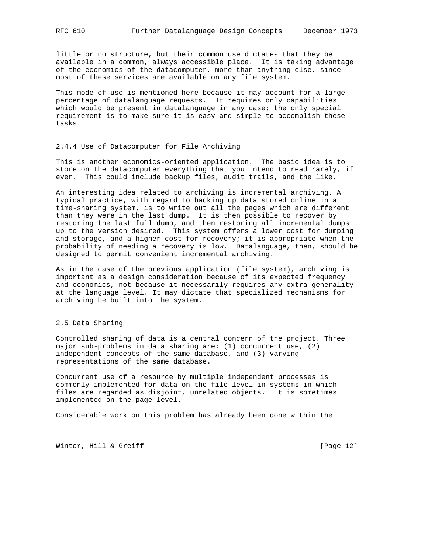little or no structure, but their common use dictates that they be available in a common, always accessible place. It is taking advantage of the economics of the datacomputer, more than anything else, since most of these services are available on any file system.

This mode of use is mentioned here because it may account for a large percentage of datalanguage requests. It requires only capabilities which would be present in datalanguage in any case; the only special requirement is to make sure it is easy and simple to accomplish these tasks.

## 2.4.4 Use of Datacomputer for File Archiving

This is another economics-oriented application. The basic idea is to store on the datacomputer everything that you intend to read rarely, if ever. This could include backup files, audit trails, and the like.

An interesting idea related to archiving is incremental archiving. A typical practice, with regard to backing up data stored online in a time-sharing system, is to write out all the pages which are different than they were in the last dump. It is then possible to recover by restoring the last full dump, and then restoring all incremental dumps up to the version desired. This system offers a lower cost for dumping and storage, and a higher cost for recovery; it is appropriate when the probability of needing a recovery is low. Datalanguage, then, should be designed to permit convenient incremental archiving.

As in the case of the previous application (file system), archiving is important as a design consideration because of its expected frequency and economics, not because it necessarily requires any extra generality at the language level. It may dictate that specialized mechanisms for archiving be built into the system.

## 2.5 Data Sharing

Controlled sharing of data is a central concern of the project. Three major sub-problems in data sharing are: (1) concurrent use, (2) independent concepts of the same database, and (3) varying representations of the same database.

Concurrent use of a resource by multiple independent processes is commonly implemented for data on the file level in systems in which files are regarded as disjoint, unrelated objects. It is sometimes implemented on the page level.

Considerable work on this problem has already been done within the

Winter, Hill & Greiff [Page 12]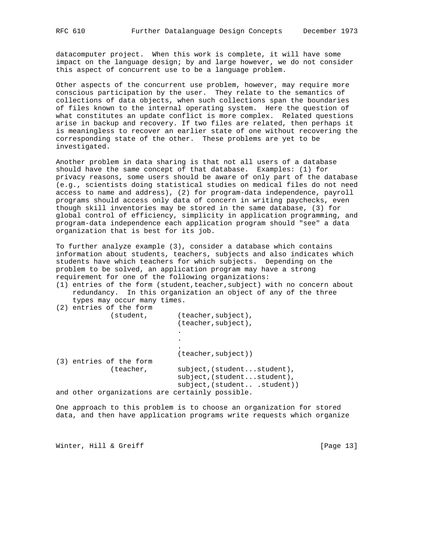datacomputer project. When this work is complete, it will have some impact on the language design; by and large however, we do not consider this aspect of concurrent use to be a language problem.

Other aspects of the concurrent use problem, however, may require more conscious participation by the user. They relate to the semantics of collections of data objects, when such collections span the boundaries of files known to the internal operating system. Here the question of what constitutes an update conflict is more complex. Related questions arise in backup and recovery. If two files are related, then perhaps it is meaningless to recover an earlier state of one without recovering the corresponding state of the other. These problems are yet to be investigated.

Another problem in data sharing is that not all users of a database should have the same concept of that database. Examples: (1) for privacy reasons, some users should be aware of only part of the database (e.g., scientists doing statistical studies on medical files do not need access to name and address), (2) for program-data independence, payroll programs should access only data of concern in writing paychecks, even though skill inventories may be stored in the same database, (3) for global control of efficiency, simplicity in application programming, and program-data independence each application program should "see" a data organization that is best for its job.

To further analyze example (3), consider a database which contains information about students, teachers, subjects and also indicates which students have which teachers for which subjects. Depending on the problem to be solved, an application program may have a strong requirement for one of the following organizations:

- (1) entries of the form (student,teacher,subject) with no concern about redundancy. In this organization an object of any of the three types may occur many times.
- (2) entries of the form

| student,                                        | $(teacher, subject)$ ,<br>(teacher, subject),                                          |
|-------------------------------------------------|----------------------------------------------------------------------------------------|
|                                                 |                                                                                        |
|                                                 |                                                                                        |
|                                                 | $(teacher, subject)$ )                                                                 |
| (3) entries of the form                         |                                                                                        |
| (teacher,                                       | subject, (studentstudent),<br>subject, (studentstudent),<br>subject, (studentstudent)) |
| and other organizations are certainly possible. |                                                                                        |

One approach to this problem is to choose an organization for stored data, and then have application programs write requests which organize

Winter, Hill & Greiff [Page 13]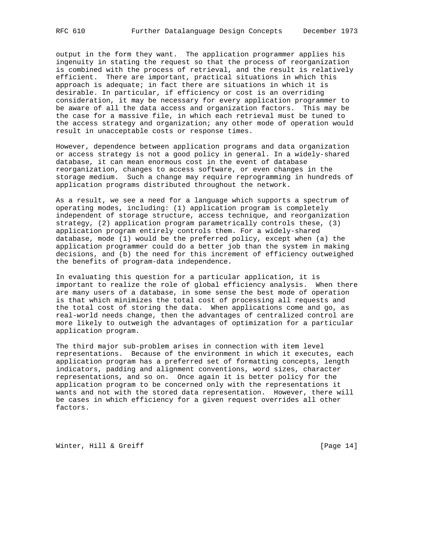output in the form they want. The application programmer applies his ingenuity in stating the request so that the process of reorganization is combined with the process of retrieval, and the result is relatively efficient. There are important, practical situations in which this approach is adequate; in fact there are situations in which it is desirable. In particular, if efficiency or cost is an overriding consideration, it may be necessary for every application programmer to be aware of all the data access and organization factors. This may be the case for a massive file, in which each retrieval must be tuned to the access strategy and organization; any other mode of operation would result in unacceptable costs or response times.

However, dependence between application programs and data organization or access strategy is not a good policy in general. In a widely-shared database, it can mean enormous cost in the event of database reorganization, changes to access software, or even changes in the storage medium. Such a change may require reprogramming in hundreds of application programs distributed throughout the network.

As a result, we see a need for a language which supports a spectrum of operating modes, including: (1) application program is completely independent of storage structure, access technique, and reorganization strategy, (2) application program parametrically controls these, (3) application program entirely controls them. For a widely-shared database, mode (1) would be the preferred policy, except when (a) the application programmer could do a better job than the system in making decisions, and (b) the need for this increment of efficiency outweighed the benefits of program-data independence.

In evaluating this question for a particular application, it is important to realize the role of global efficiency analysis. When there are many users of a database, in some sense the best mode of operation is that which minimizes the total cost of processing all requests and the total cost of storing the data. When applications come and go, as real-world needs change, then the advantages of centralized control are more likely to outweigh the advantages of optimization for a particular application program.

The third major sub-problem arises in connection with item level representations. Because of the environment in which it executes, each application program has a preferred set of formatting concepts, length indicators, padding and alignment conventions, word sizes, character representations, and so on. Once again it is better policy for the application program to be concerned only with the representations it wants and not with the stored data representation. However, there will be cases in which efficiency for a given request overrides all other factors.

Winter, Hill & Greiff [Page 14]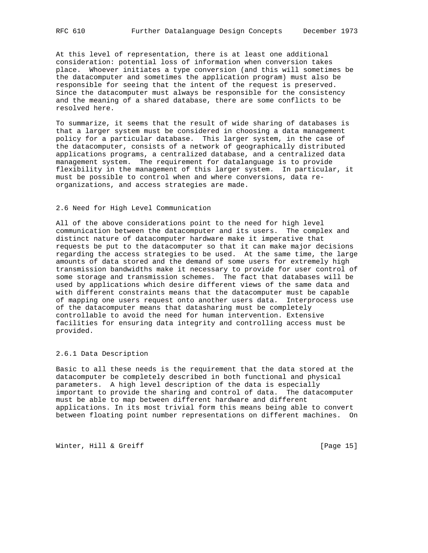At this level of representation, there is at least one additional consideration: potential loss of information when conversion takes place. Whoever initiates a type conversion (and this will sometimes be the datacomputer and sometimes the application program) must also be responsible for seeing that the intent of the request is preserved. Since the datacomputer must always be responsible for the consistency and the meaning of a shared database, there are some conflicts to be resolved here.

To summarize, it seems that the result of wide sharing of databases is that a larger system must be considered in choosing a data management policy for a particular database. This larger system, in the case of the datacomputer, consists of a network of geographically distributed applications programs, a centralized database, and a centralized data management system. The requirement for datalanguage is to provide flexibility in the management of this larger system. In particular, it must be possible to control when and where conversions, data reorganizations, and access strategies are made.

## 2.6 Need for High Level Communication

All of the above considerations point to the need for high level communication between the datacomputer and its users. The complex and distinct nature of datacomputer hardware make it imperative that requests be put to the datacomputer so that it can make major decisions regarding the access strategies to be used. At the same time, the large amounts of data stored and the demand of some users for extremely high transmission bandwidths make it necessary to provide for user control of some storage and transmission schemes. The fact that databases will be used by applications which desire different views of the same data and with different constraints means that the datacomputer must be capable of mapping one users request onto another users data. Interprocess use of the datacomputer means that datasharing must be completely controllable to avoid the need for human intervention. Extensive facilities for ensuring data integrity and controlling access must be provided.

## 2.6.1 Data Description

Basic to all these needs is the requirement that the data stored at the datacomputer be completely described in both functional and physical parameters. A high level description of the data is especially important to provide the sharing and control of data. The datacomputer must be able to map between different hardware and different applications. In its most trivial form this means being able to convert between floating point number representations on different machines. On

Winter, Hill & Greiff [Page 15]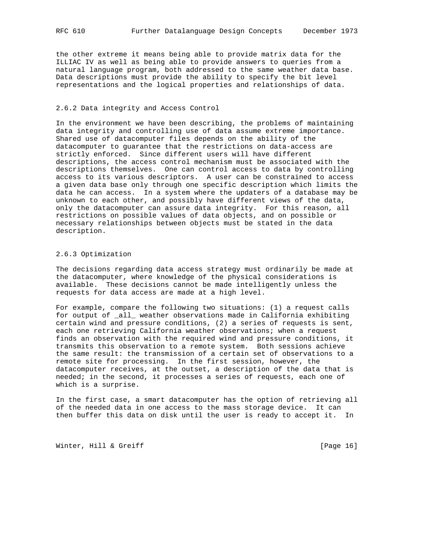the other extreme it means being able to provide matrix data for the ILLIAC IV as well as being able to provide answers to queries from a natural language program, both addressed to the same weather data base. Data descriptions must provide the ability to specify the bit level representations and the logical properties and relationships of data.

## 2.6.2 Data integrity and Access Control

In the environment we have been describing, the problems of maintaining data integrity and controlling use of data assume extreme importance. Shared use of datacomputer files depends on the ability of the datacomputer to guarantee that the restrictions on data-access are strictly enforced. Since different users will have different descriptions, the access control mechanism must be associated with the descriptions themselves. One can control access to data by controlling access to its various descriptors. A user can be constrained to access a given data base only through one specific description which limits the data he can access. In a system where the updaters of a database may be unknown to each other, and possibly have different views of the data, only the datacomputer can assure data integrity. For this reason, all restrictions on possible values of data objects, and on possible or necessary relationships between objects must be stated in the data description.

## 2.6.3 Optimization

The decisions regarding data access strategy must ordinarily be made at the datacomputer, where knowledge of the physical considerations is available. These decisions cannot be made intelligently unless the requests for data access are made at a high level.

For example, compare the following two situations: (1) a request calls for output of \_all\_ weather observations made in California exhibiting certain wind and pressure conditions, (2) a series of requests is sent, each one retrieving California weather observations; when a request finds an observation with the required wind and pressure conditions, it transmits this observation to a remote system. Both sessions achieve the same result: the transmission of a certain set of observations to a remote site for processing. In the first session, however, the datacomputer receives, at the outset, a description of the data that is needed; in the second, it processes a series of requests, each one of which is a surprise.

In the first case, a smart datacomputer has the option of retrieving all of the needed data in one access to the mass storage device. It can then buffer this data on disk until the user is ready to accept it. In

Winter, Hill & Greiff [Page 16]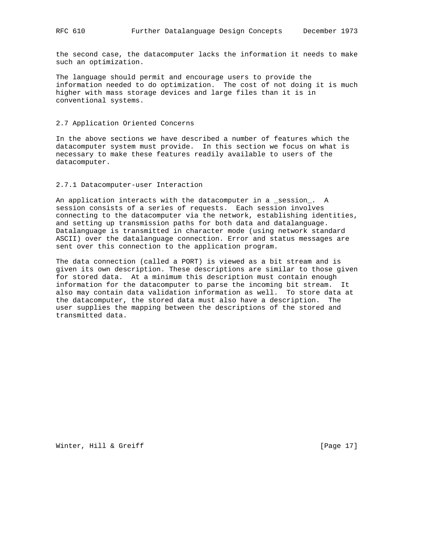the second case, the datacomputer lacks the information it needs to make such an optimization.

The language should permit and encourage users to provide the information needed to do optimization. The cost of not doing it is much higher with mass storage devices and large files than it is in conventional systems.

## 2.7 Application Oriented Concerns

In the above sections we have described a number of features which the datacomputer system must provide. In this section we focus on what is necessary to make these features readily available to users of the datacomputer.

## 2.7.1 Datacomputer-user Interaction

An application interacts with the datacomputer in a \_session\_. A session consists of a series of requests. Each session involves connecting to the datacomputer via the network, establishing identities, and setting up transmission paths for both data and datalanguage. Datalanguage is transmitted in character mode (using network standard ASCII) over the datalanguage connection. Error and status messages are sent over this connection to the application program.

The data connection (called a PORT) is viewed as a bit stream and is given its own description. These descriptions are similar to those given for stored data. At a minimum this description must contain enough information for the datacomputer to parse the incoming bit stream. It also may contain data validation information as well. To store data at the datacomputer, the stored data must also have a description. The user supplies the mapping between the descriptions of the stored and transmitted data.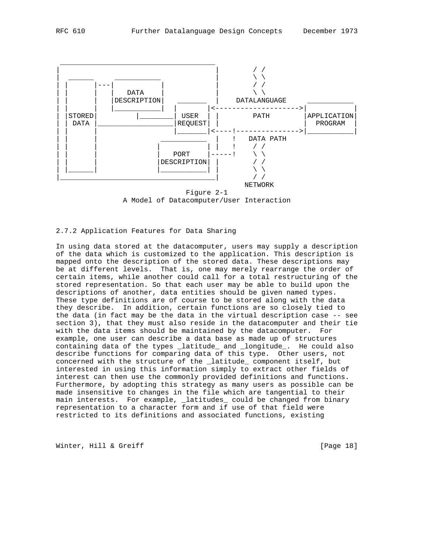



 Figure 2-1 A Model of Datacomputer/User Interaction

## 2.7.2 Application Features for Data Sharing

In using data stored at the datacomputer, users may supply a description of the data which is customized to the application. This description is mapped onto the description of the stored data. These descriptions may be at different levels. That is, one may merely rearrange the order of certain items, while another could call for a total restructuring of the stored representation. So that each user may be able to build upon the descriptions of another, data entities should be given named types. These type definitions are of course to be stored along with the data they describe. In addition, certain functions are so closely tied to the data (in fact may be the data in the virtual description case -- see section 3), that they must also reside in the datacomputer and their tie with the data items should be maintained by the datacomputer. For example, one user can describe a data base as made up of structures containing data of the types \_latitude\_ and \_longitude\_. He could also describe functions for comparing data of this type. Other users, not concerned with the structure of the \_latitude\_ component itself, but interested in using this information simply to extract other fields of interest can then use the commonly provided definitions and functions. Furthermore, by adopting this strategy as many users as possible can be made insensitive to changes in the file which are tangential to their main interests. For example, \_latitudes\_ could be changed from binary representation to a character form and if use of that field were restricted to its definitions and associated functions, existing

Winter, Hill & Greiff [Page 18]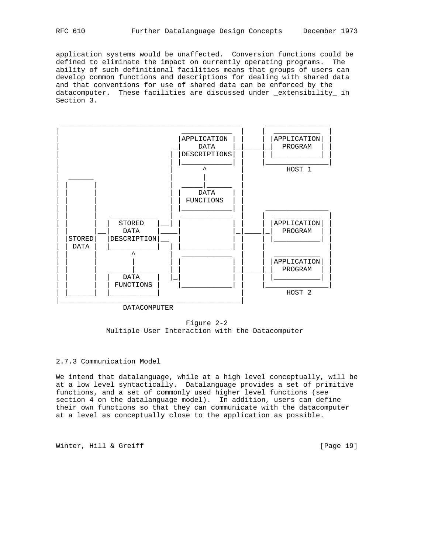application systems would be unaffected. Conversion functions could be defined to eliminate the impact on currently operating programs. The ability of such definitional facilities means that groups of users can develop common functions and descriptions for dealing with shared data and that conventions for use of shared data can be enforced by the datacomputer. These facilities are discussed under \_extensibility in Section 3.



 Figure 2-2 Multiple User Interaction with the Datacomputer

## 2.7.3 Communication Model

We intend that datalanguage, while at a high level conceptually, will be at a low level syntactically. Datalanguage provides a set of primitive functions, and a set of commonly used higher level functions (see section 4 on the datalanguage model). In addition, users can define their own functions so that they can communicate with the datacomputer at a level as conceptually close to the application as possible.

Winter, Hill & Greiff [Page 19]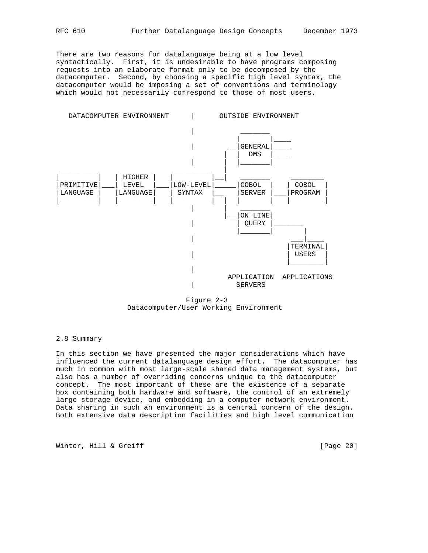There are two reasons for datalanguage being at a low level syntactically. First, it is undesirable to have programs composing requests into an elaborate format only to be decomposed by the datacomputer. Second, by choosing a specific high level syntax, the datacomputer would be imposing a set of conventions and terminology which would not necessarily correspond to those of most users.



 Figure 2-3 Datacomputer/User Working Environment

#### 2.8 Summary

In this section we have presented the major considerations which have influenced the current datalanguage design effort. The datacomputer has much in common with most large-scale shared data management systems, but also has a number of overriding concerns unique to the datacomputer concept. The most important of these are the existence of a separate box containing both hardware and software, the control of an extremely large storage device, and embedding in a computer network environment. Data sharing in such an environment is a central concern of the design. Both extensive data description facilities and high level communication

Winter, Hill & Greiff [Page 20]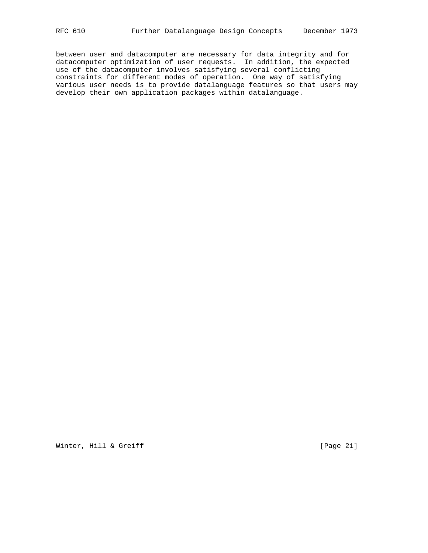between user and datacomputer are necessary for data integrity and for datacomputer optimization of user requests. In addition, the expected use of the datacomputer involves satisfying several conflicting constraints for different modes of operation. One way of satisfying various user needs is to provide datalanguage features so that users may develop their own application packages within datalanguage.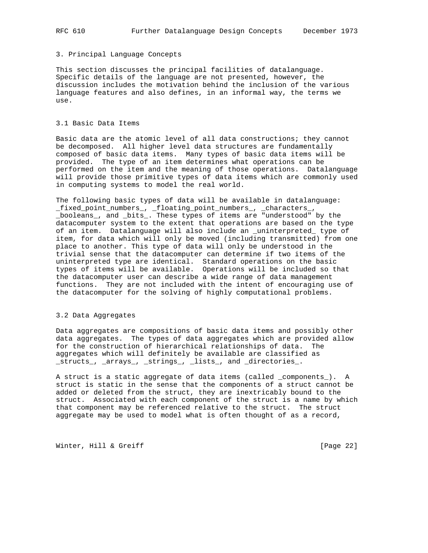## 3. Principal Language Concepts

This section discusses the principal facilities of datalanguage. Specific details of the language are not presented, however, the discussion includes the motivation behind the inclusion of the various language features and also defines, in an informal way, the terms we use.

## 3.1 Basic Data Items

Basic data are the atomic level of all data constructions; they cannot be decomposed. All higher level data structures are fundamentally composed of basic data items. Many types of basic data items will be provided. The type of an item determines what operations can be performed on the item and the meaning of those operations. Datalanguage will provide those primitive types of data items which are commonly used in computing systems to model the real world.

The following basic types of data will be available in datalanguage: \_fixed\_point\_numbers\_, \_floating\_point\_numbers\_, \_characters\_, \_booleans\_, and \_bits\_. These types of items are "understood" by the datacomputer system to the extent that operations are based on the type of an item. Datalanguage will also include an \_uninterpreted\_ type of item, for data which will only be moved (including transmitted) from one place to another. This type of data will only be understood in the trivial sense that the datacomputer can determine if two items of the uninterpreted type are identical. Standard operations on the basic types of items will be available. Operations will be included so that the datacomputer user can describe a wide range of data management functions. They are not included with the intent of encouraging use of the datacomputer for the solving of highly computational problems.

## 3.2 Data Aggregates

Data aggregates are compositions of basic data items and possibly other data aggregates. The types of data aggregates which are provided allow for the construction of hierarchical relationships of data. The aggregates which will definitely be available are classified as \_structs\_, \_arrays\_, \_strings\_, \_lists\_, and \_directories\_.

A struct is a static aggregate of data items (called \_components\_). A struct is static in the sense that the components of a struct cannot be added or deleted from the struct, they are inextricably bound to the struct. Associated with each component of the struct is a name by which that component may be referenced relative to the struct. The struct aggregate may be used to model what is often thought of as a record,

Winter, Hill & Greiff [Page 22]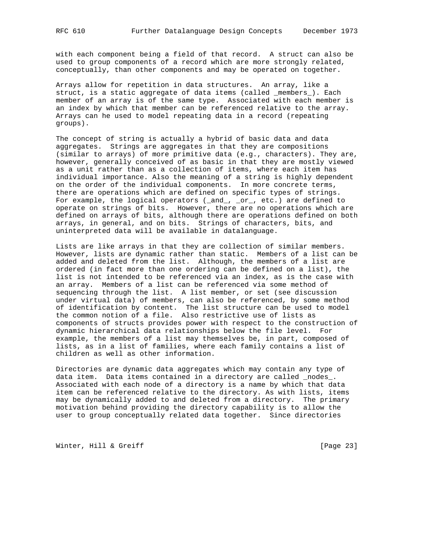with each component being a field of that record. A struct can also be used to group components of a record which are more strongly related, conceptually, than other components and may be operated on together.

Arrays allow for repetition in data structures. An array, like a struct, is a static aggregate of data items (called \_members\_). Each member of an array is of the same type. Associated with each member is an index by which that member can be referenced relative to the array. Arrays can he used to model repeating data in a record (repeating groups).

The concept of string is actually a hybrid of basic data and data aggregates. Strings are aggregates in that they are compositions (similar to arrays) of more primitive data (e.g., characters). They are, however, generally conceived of as basic in that they are mostly viewed as a unit rather than as a collection of items, where each item has individual importance. Also the meaning of a string is highly dependent on the order of the individual components. In more concrete terms, there are operations which are defined on specific types of strings. For example, the logical operators  $(\text{and}, \text{or}, \text{etc.})$  are defined to operate on strings of bits. However, there are no operations which are defined on arrays of bits, although there are operations defined on both arrays, in general, and on bits. Strings of characters, bits, and uninterpreted data will be available in datalanguage.

Lists are like arrays in that they are collection of similar members. However, lists are dynamic rather than static. Members of a list can be added and deleted from the list. Although, the members of a list are ordered (in fact more than one ordering can be defined on a list), the list is not intended to be referenced via an index, as is the case with an array. Members of a list can be referenced via some method of sequencing through the list. A list member, or set (see discussion under virtual data) of members, can also be referenced, by some method of identification by content. The list structure can be used to model the common notion of a file. Also restrictive use of lists as components of structs provides power with respect to the construction of dynamic hierarchical data relationships below the file level. For example, the members of a list may themselves be, in part, composed of lists, as in a list of families, where each family contains a list of children as well as other information.

Directories are dynamic data aggregates which may contain any type of data item. Data items contained in a directory are called \_nodes\_. Associated with each node of a directory is a name by which that data item can be referenced relative to the directory. As with lists, items may be dynamically added to and deleted from a directory. The primary motivation behind providing the directory capability is to allow the user to group conceptually related data together. Since directories

Winter, Hill & Greiff [Page 23]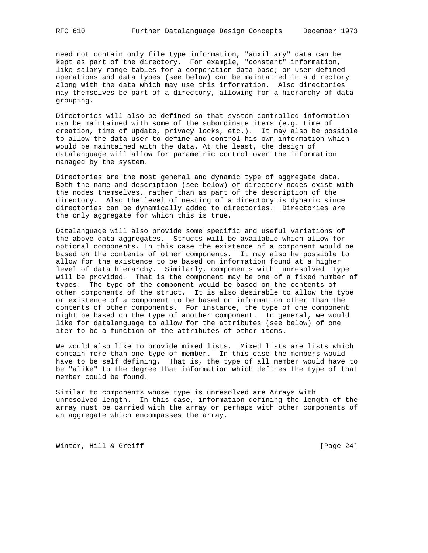need not contain only file type information, "auxiliary" data can be kept as part of the directory. For example, "constant" information, like salary range tables for a corporation data base; or user defined operations and data types (see below) can be maintained in a directory along with the data which may use this information. Also directories may themselves be part of a directory, allowing for a hierarchy of data grouping.

Directories will also be defined so that system controlled information can be maintained with some of the subordinate items (e.g. time of creation, time of update, privacy locks, etc.). It may also be possible to allow the data user to define and control his own information which would be maintained with the data. At the least, the design of datalanguage will allow for parametric control over the information managed by the system.

Directories are the most general and dynamic type of aggregate data. Both the name and description (see below) of directory nodes exist with the nodes themselves, rather than as part of the description of the directory. Also the level of nesting of a directory is dynamic since directories can be dynamically added to directories. Directories are the only aggregate for which this is true.

Datalanguage will also provide some specific and useful variations of the above data aggregates. Structs will be available which allow for optional components. In this case the existence of a component would be based on the contents of other components. It may also he possible to allow for the existence to be based on information found at a higher level of data hierarchy. Similarly, components with \_unresolved\_ type will be provided. That is the component may be one of a fixed number of types. The type of the component would be based on the contents of other components of the struct. It is also desirable to allow the type or existence of a component to be based on information other than the contents of other components. For instance, the type of one component might be based on the type of another component. In general, we would like for datalanguage to allow for the attributes (see below) of one item to be a function of the attributes of other items.

We would also like to provide mixed lists. Mixed lists are lists which contain more than one type of member. In this case the members would have to be self defining. That is, the type of all member would have to be "alike" to the degree that information which defines the type of that member could be found.

Similar to components whose type is unresolved are Arrays with unresolved length. In this case, information defining the length of the array must be carried with the array or perhaps with other components of an aggregate which encompasses the array.

Winter, Hill & Greiff [Page 24]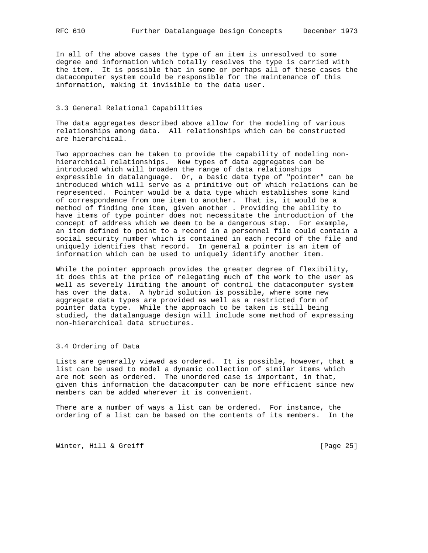In all of the above cases the type of an item is unresolved to some degree and information which totally resolves the type is carried with the item. It is possible that in some or perhaps all of these cases the datacomputer system could be responsible for the maintenance of this information, making it invisible to the data user.

### 3.3 General Relational Capabilities

The data aggregates described above allow for the modeling of various relationships among data. All relationships which can be constructed are hierarchical.

Two approaches can he taken to provide the capability of modeling nonhierarchical relationships. New types of data aggregates can be introduced which will broaden the range of data relationships expressible in datalanguage. Or, a basic data type of "pointer" can be introduced which will serve as a primitive out of which relations can be represented. Pointer would be a data type which establishes some kind of correspondence from one item to another. That is, it would be a method of finding one item, given another . Providing the ability to have items of type pointer does not necessitate the introduction of the concept of address which we deem to be a dangerous step. For example, an item defined to point to a record in a personnel file could contain a social security number which is contained in each record of the file and uniquely identifies that record. In general a pointer is an item of information which can be used to uniquely identify another item.

While the pointer approach provides the greater degree of flexibility, it does this at the price of relegating much of the work to the user as well as severely limiting the amount of control the datacomputer system has over the data. A hybrid solution is possible, where some new aggregate data types are provided as well as a restricted form of pointer data type. While the approach to be taken is still being studied, the datalanguage design will include some method of expressing non-hierarchical data structures.

3.4 Ordering of Data

Lists are generally viewed as ordered. It is possible, however, that a list can be used to model a dynamic collection of similar items which are not seen as ordered. The unordered case is important, in that, given this information the datacomputer can be more efficient since new members can be added wherever it is convenient.

There are a number of ways a list can be ordered. For instance, the ordering of a list can be based on the contents of its members. In the

Winter, Hill & Greiff [Page 25]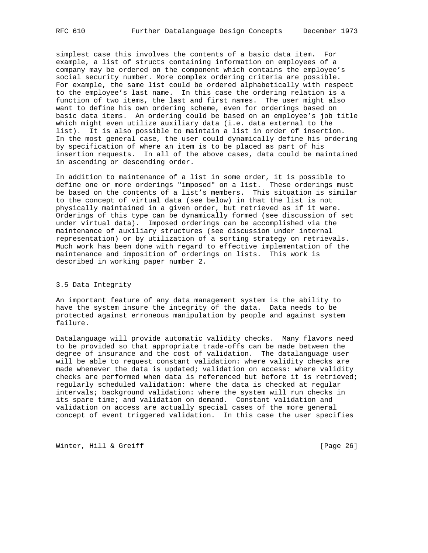simplest case this involves the contents of a basic data item. For example, a list of structs containing information on employees of a company may be ordered on the component which contains the employee's social security number. More complex ordering criteria are possible. For example, the same list could be ordered alphabetically with respect to the employee's last name. In this case the ordering relation is a function of two items, the last and first names. The user might also want to define his own ordering scheme, even for orderings based on basic data items. An ordering could be based on an employee's job title which might even utilize auxiliary data (i.e. data external to the list). It is also possible to maintain a list in order of insertion. In the most general case, the user could dynamically define his ordering by specification of where an item is to be placed as part of his insertion requests. In all of the above cases, data could be maintained in ascending or descending order.

In addition to maintenance of a list in some order, it is possible to define one or more orderings "imposed" on a list. These orderings must be based on the contents of a list's members. This situation is similar to the concept of virtual data (see below) in that the list is not physically maintained in a given order, but retrieved as if it were. Orderings of this type can be dynamically formed (see discussion of set under virtual data). Imposed orderings can be accomplished via the maintenance of auxiliary structures (see discussion under internal representation) or by utilization of a sorting strategy on retrievals. Much work has been done with regard to effective implementation of the maintenance and imposition of orderings on lists. This work is described in working paper number 2.

#### 3.5 Data Integrity

An important feature of any data management system is the ability to have the system insure the integrity of the data. Data needs to be protected against erroneous manipulation by people and against system failure.

Datalanguage will provide automatic validity checks. Many flavors need to be provided so that appropriate trade-offs can be made between the degree of insurance and the cost of validation. The datalanguage user will be able to request constant validation: where validity checks are made whenever the data is updated; validation on access: where validity checks are performed when data is referenced but before it is retrieved; regularly scheduled validation: where the data is checked at regular intervals; background validation: where the system will run checks in its spare time; and validation on demand. Constant validation and validation on access are actually special cases of the more general concept of event triggered validation. In this case the user specifies

Winter, Hill & Greiff [Page 26]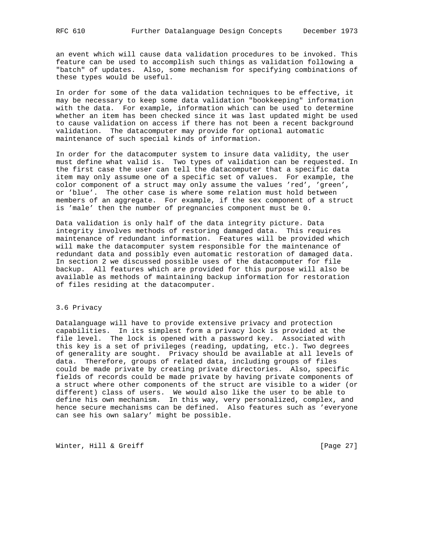an event which will cause data validation procedures to be invoked. This feature can be used to accomplish such things as validation following a "batch" of updates. Also, some mechanism for specifying combinations of these types would be useful.

In order for some of the data validation techniques to be effective, it may be necessary to keep some data validation "bookkeeping" information with the data. For example, information which can be used to determine whether an item has been checked since it was last updated might be used to cause validation on access if there has not been a recent background validation. The datacomputer may provide for optional automatic maintenance of such special kinds of information.

In order for the datacomputer system to insure data validity, the user must define what valid is. Two types of validation can be requested. In the first case the user can tell the datacomputer that a specific data item may only assume one of a specific set of values. For example, the color component of a struct may only assume the values 'red', 'green', or 'blue'. The other case is where some relation must hold between members of an aggregate. For example, if the sex component of a struct is 'male' then the number of pregnancies component must be 0.

Data validation is only half of the data integrity picture. Data integrity involves methods of restoring damaged data. This requires maintenance of redundant information. Features will be provided which will make the datacomputer system responsible for the maintenance of redundant data and possibly even automatic restoration of damaged data. In section 2 we discussed possible uses of the datacomputer for file backup. All features which are provided for this purpose will also be available as methods of maintaining backup information for restoration of files residing at the datacomputer.

## 3.6 Privacy

Datalanguage will have to provide extensive privacy and protection capabilities. In its simplest form a privacy lock is provided at the file level. The lock is opened with a password key. Associated with this key is a set of privileges (reading, updating, etc.). Two degrees of generality are sought. Privacy should be available at all levels of data. Therefore, groups of related data, including groups of files could be made private by creating private directories. Also, specific fields of records could be made private by having private components of a struct where other components of the struct are visible to a wider (or different) class of users. We would also like the user to be able to define his own mechanism. In this way, very personalized, complex, and hence secure mechanisms can be defined. Also features such as 'everyone can see his own salary' might be possible.

Winter, Hill & Greiff [Page 27]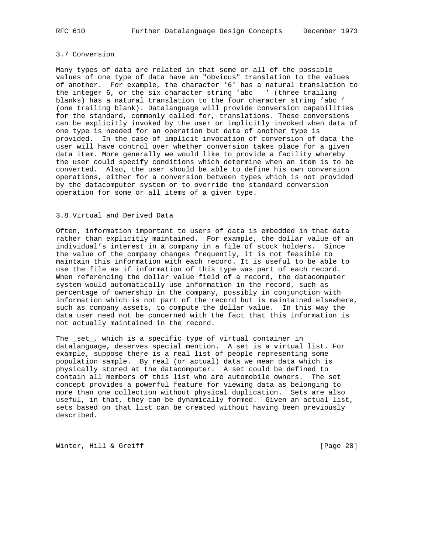## 3.7 Conversion

Many types of data are related in that some or all of the possible values of one type of data have an "obvious" translation to the values of another. For example, the character '6' has a natural translation to the integer 6, or the six character string 'abc ' (three trailing blanks) has a natural translation to the four character string 'abc ' (one trailing blank). Datalanguage will provide conversion capabilities for the standard, commonly called for, translations. These conversions can be explicitly invoked by the user or implicitly invoked when data of one type is needed for an operation but data of another type is provided. In the case of implicit invocation of conversion of data the user will have control over whether conversion takes place for a given data item. More generally we would like to provide a facility whereby the user could specify conditions which determine when an item is to be converted. Also, the user should be able to define his own conversion operations, either for a conversion between types which is not provided by the datacomputer system or to override the standard conversion operation for some or all items of a given type.

## 3.8 Virtual and Derived Data

Often, information important to users of data is embedded in that data rather than explicitly maintained. For example, the dollar value of an individual's interest in a company in a file of stock holders. Since the value of the company changes frequently, it is not feasible to maintain this information with each record. It is useful to be able to use the file as if information of this type was part of each record. When referencing the dollar value field of a record, the datacomputer system would automatically use information in the record, such as percentage of ownership in the company, possibly in conjunction with information which is not part of the record but is maintained elsewhere, such as company assets, to compute the dollar value. In this way the data user need not be concerned with the fact that this information is not actually maintained in the record.

The \_set\_, which is a specific type of virtual container in datalanguage, deserves special mention. A set is a virtual list. For example, suppose there is a real list of people representing some population sample. By real (or actual) data we mean data which is physically stored at the datacomputer. A set could be defined to contain all members of this list who are automobile owners. The set concept provides a powerful feature for viewing data as belonging to more than one collection without physical duplication. Sets are also useful, in that, they can be dynamically formed. Given an actual list, sets based on that list can be created without having been previously described.

Winter, Hill & Greiff [Page 28]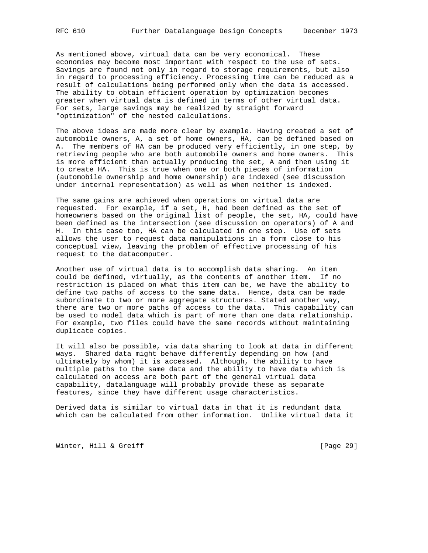As mentioned above, virtual data can be very economical. These economies may become most important with respect to the use of sets. Savings are found not only in regard to storage requirements, but also in regard to processing efficiency. Processing time can be reduced as a result of calculations being performed only when the data is accessed. The ability to obtain efficient operation by optimization becomes greater when virtual data is defined in terms of other virtual data. For sets, large savings may be realized by straight forward "optimization" of the nested calculations.

The above ideas are made more clear by example. Having created a set of automobile owners, A, a set of home owners, HA, can be defined based on A. The members of HA can be produced very efficiently, in one step, by retrieving people who are both automobile owners and home owners. This is more efficient than actually producing the set, A and then using it to create HA. This is true when one or both pieces of information (automobile ownership and home ownership) are indexed (see discussion under internal representation) as well as when neither is indexed.

The same gains are achieved when operations on virtual data are requested. For example, if a set, H, had been defined as the set of homeowners based on the original list of people, the set, HA, could have been defined as the intersection (see discussion on operators) of A and H. In this case too, HA can be calculated in one step. Use of sets allows the user to request data manipulations in a form close to his conceptual view, leaving the problem of effective processing of his request to the datacomputer.

Another use of virtual data is to accomplish data sharing. An item could be defined, virtually, as the contents of another item. If no restriction is placed on what this item can be, we have the ability to define two paths of access to the same data. Hence, data can be made subordinate to two or more aggregate structures. Stated another way, there are two or more paths of access to the data. This capability can be used to model data which is part of more than one data relationship. For example, two files could have the same records without maintaining duplicate copies.

It will also be possible, via data sharing to look at data in different ways. Shared data might behave differently depending on how (and ultimately by whom) it is accessed. Although, the ability to have multiple paths to the same data and the ability to have data which is calculated on access are both part of the general virtual data capability, datalanguage will probably provide these as separate features, since they have different usage characteristics.

Derived data is similar to virtual data in that it is redundant data which can be calculated from other information. Unlike virtual data it

Winter, Hill & Greiff [Page 29]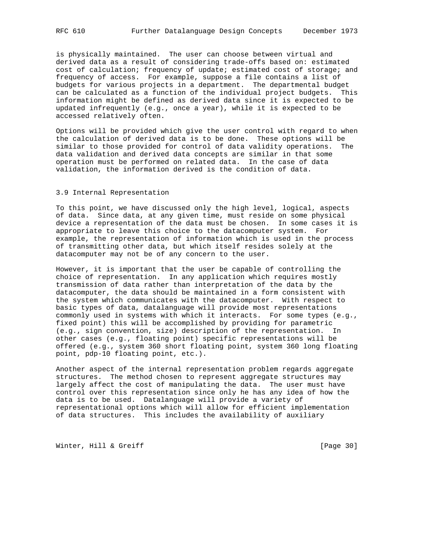is physically maintained. The user can choose between virtual and derived data as a result of considering trade-offs based on: estimated cost of calculation; frequency of update; estimated cost of storage; and frequency of access. For example, suppose a file contains a list of budgets for various projects in a department. The departmental budget can be calculated as a function of the individual project budgets. This information might be defined as derived data since it is expected to be updated infrequently (e.g., once a year), while it is expected to be accessed relatively often.

Options will be provided which give the user control with regard to when the calculation of derived data is to be done. These options will be similar to those provided for control of data validity operations. The data validation and derived data concepts are similar in that some operation must be performed on related data. In the case of data validation, the information derived is the condition of data.

## 3.9 Internal Representation

To this point, we have discussed only the high level, logical, aspects of data. Since data, at any given time, must reside on some physical device a representation of the data must be chosen. In some cases it is appropriate to leave this choice to the datacomputer system. For example, the representation of information which is used in the process of transmitting other data, but which itself resides solely at the datacomputer may not be of any concern to the user.

However, it is important that the user be capable of controlling the choice of representation. In any application which requires mostly transmission of data rather than interpretation of the data by the datacomputer, the data should be maintained in a form consistent with the system which communicates with the datacomputer. With respect to basic types of data, datalanguage will provide most representations commonly used in systems with which it interacts. For some types (e.g., fixed point) this will be accomplished by providing for parametric (e.g., sign convention, size) description of the representation. In other cases (e.g., floating point) specific representations will be offered (e.g., system 360 short floating point, system 360 long floating point, pdp-10 floating point, etc.).

Another aspect of the internal representation problem regards aggregate structures. The method chosen to represent aggregate structures may largely affect the cost of manipulating the data. The user must have control over this representation since only he has any idea of how the data is to be used. Datalanguage will provide a variety of representational options which will allow for efficient implementation of data structures. This includes the availability of auxiliary

Winter, Hill & Greiff [Page 30]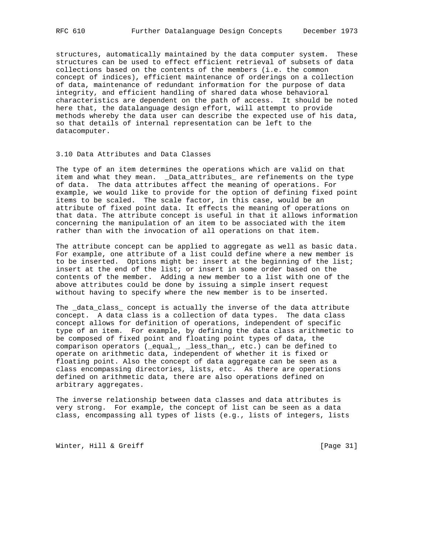structures, automatically maintained by the data computer system. These structures can be used to effect efficient retrieval of subsets of data collections based on the contents of the members (i.e. the common concept of indices), efficient maintenance of orderings on a collection of data, maintenance of redundant information for the purpose of data integrity, and efficient handling of shared data whose behavioral characteristics are dependent on the path of access. It should be noted here that, the datalanguage design effort, will attempt to provide methods whereby the data user can describe the expected use of his data, so that details of internal representation can be left to the datacomputer.

## 3.10 Data Attributes and Data Classes

The type of an item determines the operations which are valid on that item and what they mean. \_Data\_attributes\_ are refinements on the type of data. The data attributes affect the meaning of operations. For example, we would like to provide for the option of defining fixed point items to be scaled. The scale factor, in this case, would be an attribute of fixed point data. It effects the meaning of operations on that data. The attribute concept is useful in that it allows information concerning the manipulation of an item to be associated with the item rather than with the invocation of all operations on that item.

The attribute concept can be applied to aggregate as well as basic data. For example, one attribute of a list could define where a new member is to be inserted. Options might be: insert at the beginning of the list; insert at the end of the list; or insert in some order based on the contents of the member. Adding a new member to a list with one of the above attributes could be done by issuing a simple insert request without having to specify where the new member is to be inserted.

The \_data\_class\_ concept is actually the inverse of the data attribute concept. A data class is a collection of data types. The data class concept allows for definition of operations, independent of specific type of an item. For example, by defining the data class arithmetic to be composed of fixed point and floating point types of data, the comparison operators (\_equal\_, \_less\_than\_, etc.) can be defined to operate on arithmetic data, independent of whether it is fixed or floating point. Also the concept of data aggregate can be seen as a class encompassing directories, lists, etc. As there are operations defined on arithmetic data, there are also operations defined on arbitrary aggregates.

The inverse relationship between data classes and data attributes is very strong. For example, the concept of list can be seen as a data class, encompassing all types of lists (e.g., lists of integers, lists

Winter, Hill & Greiff [Page 31]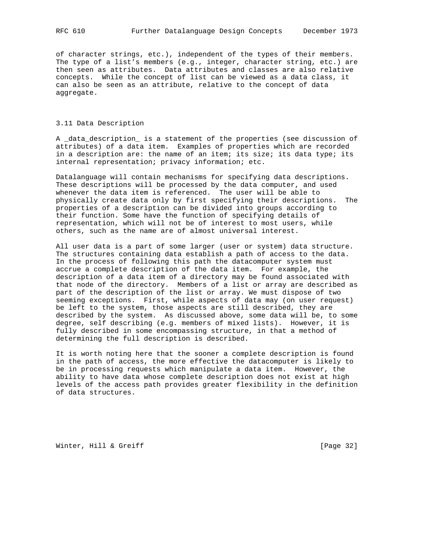of character strings, etc.), independent of the types of their members. The type of a list's members (e.g., integer, character string, etc.) are then seen as attributes. Data attributes and classes are also relative concepts. While the concept of list can be viewed as a data class, it can also be seen as an attribute, relative to the concept of data aggregate.

## 3.11 Data Description

A \_data\_description\_ is a statement of the properties (see discussion of attributes) of a data item. Examples of properties which are recorded in a description are: the name of an item; its size; its data type; its internal representation; privacy information; etc.

Datalanguage will contain mechanisms for specifying data descriptions. These descriptions will be processed by the data computer, and used whenever the data item is referenced. The user will be able to physically create data only by first specifying their descriptions. The properties of a description can be divided into groups according to their function. Some have the function of specifying details of representation, which will not be of interest to most users, while others, such as the name are of almost universal interest.

All user data is a part of some larger (user or system) data structure. The structures containing data establish a path of access to the data. In the process of following this path the datacomputer system must accrue a complete description of the data item. For example, the description of a data item of a directory may be found associated with that node of the directory. Members of a list or array are described as part of the description of the list or array. We must dispose of two seeming exceptions. First, while aspects of data may (on user request) be left to the system, those aspects are still described, they are described by the system. As discussed above, some data will be, to some degree, self describing (e.g. members of mixed lists). However, it is fully described in some encompassing structure, in that a method of determining the full description is described.

It is worth noting here that the sooner a complete description is found in the path of access, the more effective the datacomputer is likely to be in processing requests which manipulate a data item. However, the ability to have data whose complete description does not exist at high levels of the access path provides greater flexibility in the definition of data structures.

Winter, Hill & Greiff [Page 32]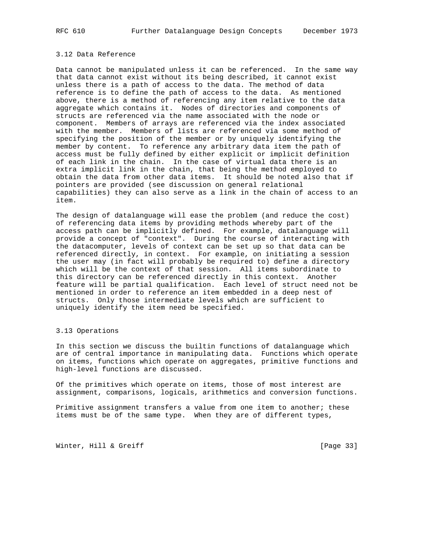# 3.12 Data Reference

Data cannot be manipulated unless it can be referenced. In the same way that data cannot exist without its being described, it cannot exist unless there is a path of access to the data. The method of data reference is to define the path of access to the data. As mentioned above, there is a method of referencing any item relative to the data aggregate which contains it. Nodes of directories and components of structs are referenced via the name associated with the node or component. Members of arrays are referenced via the index associated with the member. Members of lists are referenced via some method of specifying the position of the member or by uniquely identifying the member by content. To reference any arbitrary data item the path of access must be fully defined by either explicit or implicit definition of each link in the chain. In the case of virtual data there is an extra implicit link in the chain, that being the method employed to obtain the data from other data items. It should be noted also that if pointers are provided (see discussion on general relational capabilities) they can also serve as a link in the chain of access to an item.

The design of datalanguage will ease the problem (and reduce the cost) of referencing data items by providing methods whereby part of the access path can be implicitly defined. For example, datalanguage will provide a concept of "context". During the course of interacting with the datacomputer, levels of context can be set up so that data can be referenced directly, in context. For example, on initiating a session the user may (in fact will probably be required to) define a directory which will be the context of that session. All items subordinate to this directory can be referenced directly in this context. Another feature will be partial qualification. Each level of struct need not be mentioned in order to reference an item embedded in a deep nest of structs. Only those intermediate levels which are sufficient to uniquely identify the item need be specified.

## 3.13 Operations

In this section we discuss the builtin functions of datalanguage which are of central importance in manipulating data. Functions which operate on items, functions which operate on aggregates, primitive functions and high-level functions are discussed.

Of the primitives which operate on items, those of most interest are assignment, comparisons, logicals, arithmetics and conversion functions.

Primitive assignment transfers a value from one item to another; these items must be of the same type. When they are of different types,

Winter, Hill & Greiff [Page 33]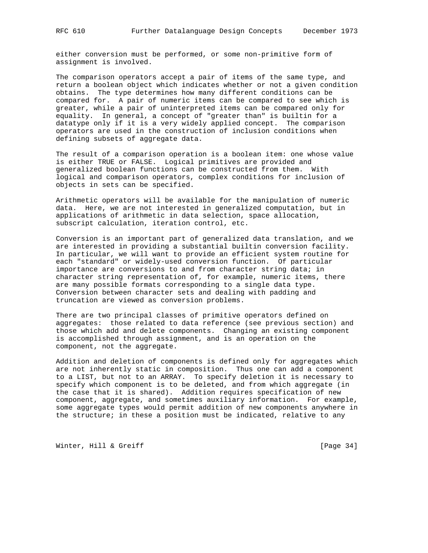either conversion must be performed, or some non-primitive form of assignment is involved.

The comparison operators accept a pair of items of the same type, and return a boolean object which indicates whether or not a given condition obtains. The type determines how many different conditions can be compared for. A pair of numeric items can be compared to see which is greater, while a pair of uninterpreted items can be compared only for equality. In general, a concept of "greater than" is builtin for a datatype only if it is a very widely applied concept. The comparison operators are used in the construction of inclusion conditions when defining subsets of aggregate data.

The result of a comparison operation is a boolean item: one whose value is either TRUE or FALSE. Logical primitives are provided and generalized boolean functions can be constructed from them. With logical and comparison operators, complex conditions for inclusion of objects in sets can be specified.

Arithmetic operators will be available for the manipulation of numeric data. Here, we are not interested in generalized computation, but in applications of arithmetic in data selection, space allocation, subscript calculation, iteration control, etc.

Conversion is an important part of generalized data translation, and we are interested in providing a substantial builtin conversion facility. In particular, we will want to provide an efficient system routine for each "standard" or widely-used conversion function. Of particular importance are conversions to and from character string data; in character string representation of, for example, numeric items, there are many possible formats corresponding to a single data type. Conversion between character sets and dealing with padding and truncation are viewed as conversion problems.

There are two principal classes of primitive operators defined on aggregates: those related to data reference (see previous section) and those which add and delete components. Changing an existing component is accomplished through assignment, and is an operation on the component, not the aggregate.

Addition and deletion of components is defined only for aggregates which are not inherently static in composition. Thus one can add a component to a LIST, but not to an ARRAY. To specify deletion it is necessary to specify which component is to be deleted, and from which aggregate (in the case that it is shared). Addition requires specification of new component, aggregate, and sometimes auxiliary information. For example, some aggregate types would permit addition of new components anywhere in the structure; in these a position must be indicated, relative to any

Winter, Hill & Greiff [Page 34]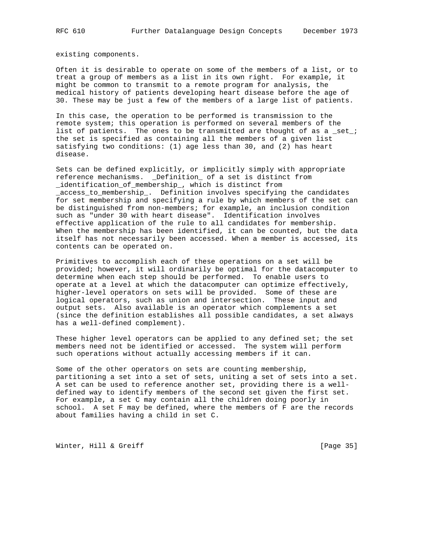existing components.

Often it is desirable to operate on some of the members of a list, or to treat a group of members as a list in its own right. For example, it might be common to transmit to a remote program for analysis, the medical history of patients developing heart disease before the age of 30. These may be just a few of the members of a large list of patients.

In this case, the operation to be performed is transmission to the remote system; this operation is performed on several members of the list of patients. The ones to be transmitted are thought of as a \_set\_; the set is specified as containing all the members of a given list satisfying two conditions: (1) age less than 30, and (2) has heart disease.

Sets can be defined explicitly, or implicitly simply with appropriate reference mechanisms. \_Definition\_ of a set is distinct from \_identification\_of\_membership\_, which is distinct from \_access\_to\_membership\_. Definition involves specifying the candidates for set membership and specifying a rule by which members of the set can be distinguished from non-members; for example, an inclusion condition such as "under 30 with heart disease". Identification involves effective application of the rule to all candidates for membership. When the membership has been identified, it can be counted, but the data itself has not necessarily been accessed. When a member is accessed, its contents can be operated on.

Primitives to accomplish each of these operations on a set will be provided; however, it will ordinarily be optimal for the datacomputer to determine when each step should be performed. To enable users to operate at a level at which the datacomputer can optimize effectively, higher-level operators on sets will be provided. Some of these are logical operators, such as union and intersection. These input and output sets. Also available is an operator which complements a set (since the definition establishes all possible candidates, a set always has a well-defined complement).

These higher level operators can be applied to any defined set; the set members need not be identified or accessed. The system will perform such operations without actually accessing members if it can.

Some of the other operators on sets are counting membership, partitioning a set into a set of sets, uniting a set of sets into a set. A set can be used to reference another set, providing there is a welldefined way to identify members of the second set given the first set. For example, a set C may contain all the children doing poorly in school. A set F may be defined, where the members of F are the records about families having a child in set C.

Winter, Hill & Greiff [Page 35]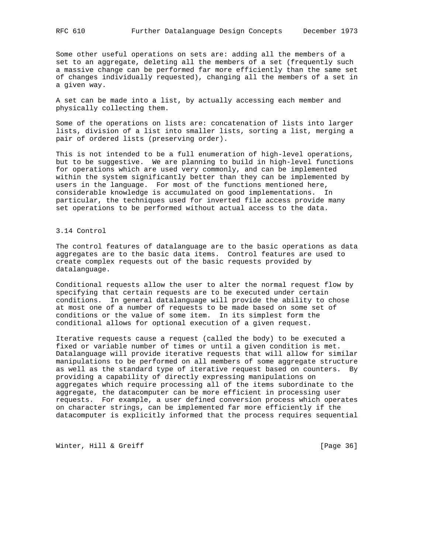Some other useful operations on sets are: adding all the members of a set to an aggregate, deleting all the members of a set (frequently such a massive change can be performed far more efficiently than the same set of changes individually requested), changing all the members of a set in a given way.

A set can be made into a list, by actually accessing each member and physically collecting them.

Some of the operations on lists are: concatenation of lists into larger lists, division of a list into smaller lists, sorting a list, merging a pair of ordered lists (preserving order).

This is not intended to be a full enumeration of high-level operations, but to be suggestive. We are planning to build in high-level functions for operations which are used very commonly, and can be implemented within the system significantly better than they can be implemented by users in the language. For most of the functions mentioned here, considerable knowledge is accumulated on good implementations. In particular, the techniques used for inverted file access provide many set operations to be performed without actual access to the data.

# 3.14 Control

The control features of datalanguage are to the basic operations as data aggregates are to the basic data items. Control features are used to create complex requests out of the basic requests provided by datalanguage.

Conditional requests allow the user to alter the normal request flow by specifying that certain requests are to be executed under certain conditions. In general datalanguage will provide the ability to chose at most one of a number of requests to be made based on some set of conditions or the value of some item. In its simplest form the conditional allows for optional execution of a given request.

Iterative requests cause a request (called the body) to be executed a fixed or variable number of times or until a given condition is met. Datalanguage will provide iterative requests that will allow for similar manipulations to be performed on all members of some aggregate structure as well as the standard type of iterative request based on counters. By providing a capability of directly expressing manipulations on aggregates which require processing all of the items subordinate to the aggregate, the datacomputer can be more efficient in processing user requests. For example, a user defined conversion process which operates on character strings, can be implemented far more efficiently if the datacomputer is explicitly informed that the process requires sequential

Winter, Hill & Greiff [Page 36]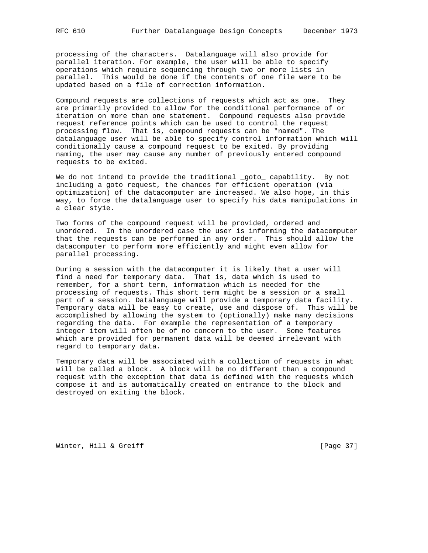processing of the characters. Datalanguage will also provide for parallel iteration. For example, the user will be able to specify operations which require sequencing through two or more lists in parallel. This would be done if the contents of one file were to be updated based on a file of correction information.

Compound requests are collections of requests which act as one. They are primarily provided to allow for the conditional performance of or iteration on more than one statement. Compound requests also provide request reference points which can be used to control the request processing flow. That is, compound requests can be "named". The datalanguage user will be able to specify control information which will conditionally cause a compound request to be exited. By providing naming, the user may cause any number of previously entered compound requests to be exited.

We do not intend to provide the traditional \_goto\_ capability. By not including a goto request, the chances for efficient operation (via optimization) of the datacomputer are increased. We also hope, in this way, to force the datalanguage user to specify his data manipulations in a clear sty1e.

Two forms of the compound request will be provided, ordered and unordered. In the unordered case the user is informing the datacomputer that the requests can be performed in any order. This should allow the datacomputer to perform more efficiently and might even allow for parallel processing.

During a session with the datacomputer it is likely that a user will find a need for temporary data. That is, data which is used to remember, for a short term, information which is needed for the processing of requests. This short term might be a session or a small part of a session. Datalanguage will provide a temporary data facility. Temporary data will be easy to create, use and dispose of. This will be accomplished by allowing the system to (optionally) make many decisions regarding the data. For example the representation of a temporary integer item will often be of no concern to the user. Some features which are provided for permanent data will be deemed irrelevant with regard to temporary data.

Temporary data will be associated with a collection of requests in what will be called a block. A block will be no different than a compound request with the exception that data is defined with the requests which compose it and is automatically created on entrance to the block and destroyed on exiting the block.

Winter, Hill & Greiff [Page 37]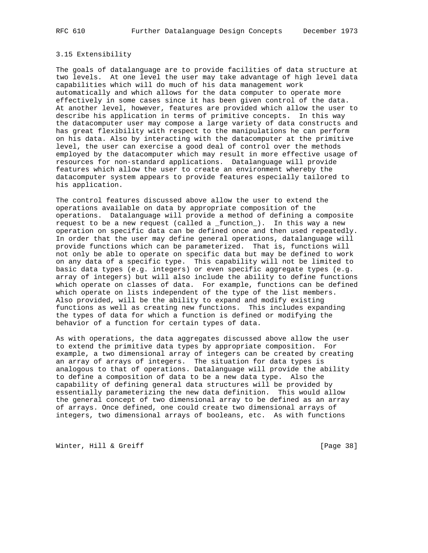## 3.15 Extensibility

The goals of datalanguage are to provide facilities of data structure at two levels. At one level the user may take advantage of high level data capabilities which will do much of his data management work automatically and which allows for the data computer to operate more effectively in some cases since it has been given control of the data. At another level, however, features are provided which allow the user to describe his application in terms of primitive concepts. In this way the datacomputer user may compose a large variety of data constructs and has great flexibility with respect to the manipulations he can perform on his data. Also by interacting with the datacomputer at the primitive level, the user can exercise a good deal of control over the methods employed by the datacomputer which may result in more effective usage of resources for non-standard applications. Datalanguage will provide features which allow the user to create an environment whereby the datacomputer system appears to provide features especially tailored to his application.

The control features discussed above allow the user to extend the operations available on data by appropriate composition of the operations. Datalanguage will provide a method of defining a composite request to be a new request (called a \_function\_). In this way a new operation on specific data can be defined once and then used repeatedly. In order that the user may define general operations, datalanguage will provide functions which can be parameterized. That is, functions will not only be able to operate on specific data but may be defined to work on any data of a specific type. This capability will not be limited to basic data types (e.g. integers) or even specific aggregate types (e.g. array of integers) but will also include the ability to define functions which operate on classes of data. For example, functions can be defined which operate on lists independent of the type of the list members. Also provided, will be the ability to expand and modify existing functions as well as creating new functions. This includes expanding the types of data for which a function is defined or modifying the behavior of a function for certain types of data.

As with operations, the data aggregates discussed above allow the user to extend the primitive data types by appropriate composition. For example, a two dimensional array of integers can be created by creating an array of arrays of integers. The situation for data types is analogous to that of operations. Datalanguage will provide the ability to define a composition of data to be a new data type. Also the capability of defining general data structures will be provided by essentially parameterizing the new data definition. This would allow the general concept of two dimensional array to be defined as an array of arrays. Once defined, one could create two dimensional arrays of integers, two dimensional arrays of booleans, etc. As with functions

Winter, Hill & Greiff [Page 38]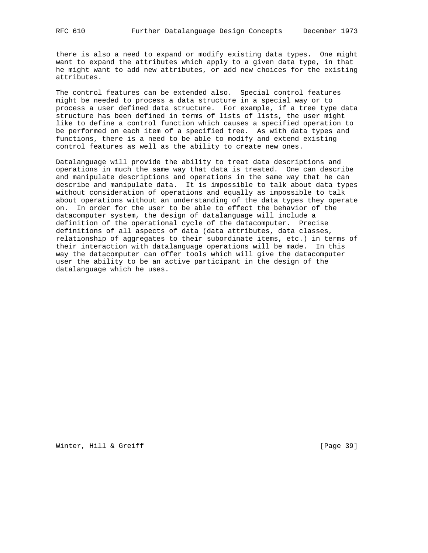there is also a need to expand or modify existing data types. One might want to expand the attributes which apply to a given data type, in that he might want to add new attributes, or add new choices for the existing attributes.

The control features can be extended also. Special control features might be needed to process a data structure in a special way or to process a user defined data structure. For example, if a tree type data structure has been defined in terms of lists of lists, the user might like to define a control function which causes a specified operation to be performed on each item of a specified tree. As with data types and functions, there is a need to be able to modify and extend existing control features as well as the ability to create new ones.

Datalanguage will provide the ability to treat data descriptions and operations in much the same way that data is treated. One can describe and manipulate descriptions and operations in the same way that he can describe and manipulate data. It is impossible to talk about data types without consideration of operations and equally as impossible to talk about operations without an understanding of the data types they operate on. In order for the user to be able to effect the behavior of the datacomputer system, the design of datalanguage will include a definition of the operational cycle of the datacomputer. Precise definitions of all aspects of data (data attributes, data classes, relationship of aggregates to their subordinate items, etc.) in terms of their interaction with datalanguage operations will be made. In this way the datacomputer can offer tools which will give the datacomputer user the ability to be an active participant in the design of the datalanguage which he uses.

Winter, Hill & Greiff [Page 39]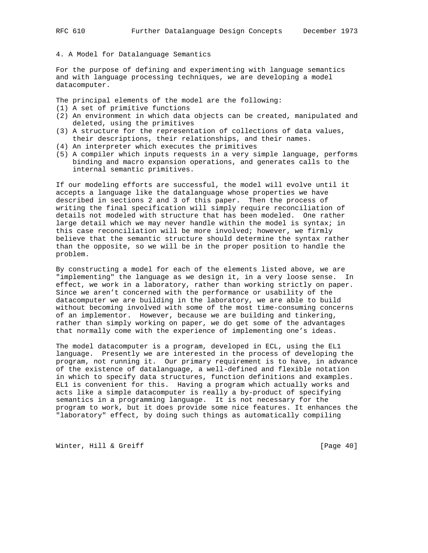## 4. A Model for Datalanguage Semantics

For the purpose of defining and experimenting with language semantics and with language processing techniques, we are developing a model datacomputer.

The principal elements of the model are the following:

- (1) A set of primitive functions
- (2) An environment in which data objects can be created, manipulated and deleted, using the primitives
- (3) A structure for the representation of collections of data values, their descriptions, their relationships, and their names.
- (4) An interpreter which executes the primitives
- (5) A compiler which inputs requests in a very simple language, performs binding and macro expansion operations, and generates calls to the internal semantic primitives.

If our modeling efforts are successful, the model will evolve until it accepts a language like the datalanguage whose properties we have described in sections 2 and 3 of this paper. Then the process of writing the final specification will simply require reconciliation of details not modeled with structure that has been modeled. One rather large detail which we may never handle within the model is syntax; in this case reconciliation will be more involved; however, we firmly believe that the semantic structure should determine the syntax rather than the opposite, so we will be in the proper position to handle the problem.

By constructing a model for each of the elements listed above, we are "implementing" the language as we design it, in a very loose sense. In effect, we work in a laboratory, rather than working strictly on paper. Since we aren't concerned with the performance or usability of the datacomputer we are building in the laboratory, we are able to build without becoming involved with some of the most time-consuming concerns of an implementor. However, because we are building and tinkering, rather than simply working on paper, we do get some of the advantages that normally come with the experience of implementing one's ideas.

The model datacomputer is a program, developed in ECL, using the EL1 language. Presently we are interested in the process of developing the program, not running it. Our primary requirement is to have, in advance of the existence of datalanguage, a well-defined and flexible notation in which to specify data structures, function definitions and examples. EL1 is convenient for this. Having a program which actually works and acts like a simple datacomputer is really a by-product of specifying semantics in a programming language. It is not necessary for the program to work, but it does provide some nice features. It enhances the "laboratory" effect, by doing such things as automatically compiling

Winter, Hill & Greiff [Page 40]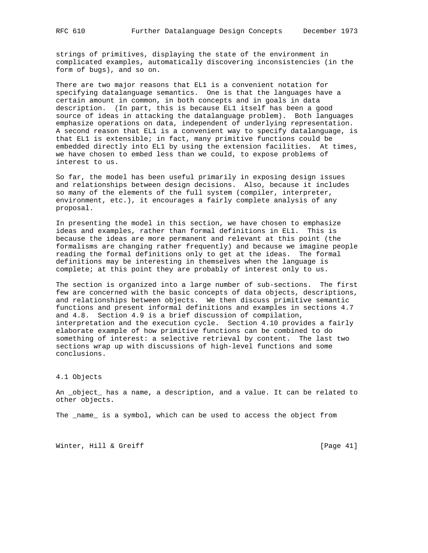strings of primitives, displaying the state of the environment in complicated examples, automatically discovering inconsistencies (in the form of bugs), and so on.

There are two major reasons that EL1 is a convenient notation for specifying datalanguage semantics. One is that the languages have a certain amount in common, in both concepts and in goals in data description. (In part, this is because EL1 itself has been a good source of ideas in attacking the datalanguage problem). Both languages emphasize operations on data, independent of underlying representation. A second reason that EL1 is a convenient way to specify datalanguage, is that EL1 is extensible; in fact, many primitive functions could be embedded directly into EL1 by using the extension facilities. At times, we have chosen to embed less than we could, to expose problems of interest to us.

So far, the model has been useful primarily in exposing design issues and relationships between design decisions. Also, because it includes so many of the elements of the full system (compiler, interpreter, environment, etc.), it encourages a fairly complete analysis of any proposal.

In presenting the model in this section, we have chosen to emphasize ideas and examples, rather than formal definitions in EL1. This is because the ideas are more permanent and relevant at this point (the formalisms are changing rather frequently) and because we imagine people reading the formal definitions only to get at the ideas. The formal definitions may be interesting in themselves when the language is complete; at this point they are probably of interest only to us.

The section is organized into a large number of sub-sections. The first few are concerned with the basic concepts of data objects, descriptions, and relationships between objects. We then discuss primitive semantic functions and present informal definitions and examples in sections 4.7 and 4.8. Section 4.9 is a brief discussion of compilation, interpretation and the execution cycle. Section 4.10 provides a fairly elaborate example of how primitive functions can be combined to do something of interest: a selective retrieval by content. The last two sections wrap up with discussions of high-level functions and some conclusions.

4.1 Objects

An \_object\_ has a name, a description, and a value. It can be related to other objects.

The \_name\_ is a symbol, which can be used to access the object from

Winter, Hill & Greiff [Page 41]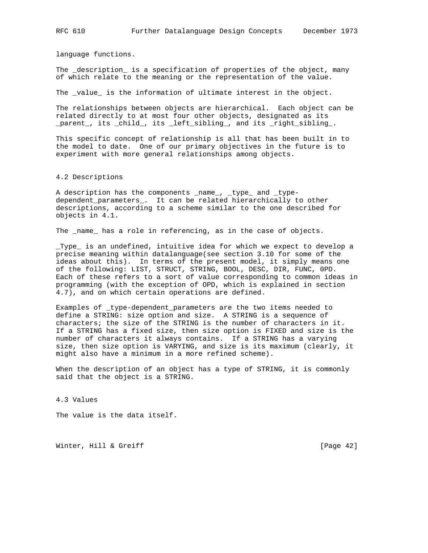language functions.

The \_description\_ is a specification of properties of the object, many of which relate to the meaning or the representation of the value.

The \_value\_ is the information of ultimate interest in the object.

The relationships between objects are hierarchical. Each object can be related directly to at most four other objects, designated as its \_parent\_, its \_child\_, its \_left\_sibling\_, and its \_right\_sibling\_.

This specific concept of relationship is all that has been built in to the model to date. One of our primary objectives in the future is to experiment with more general relationships among objects.

### 4.2 Descriptions

A description has the components \_name\_, \_type\_ and \_typedependent\_parameters\_. It can be related hierarchically to other descriptions, according to a scheme similar to the one described for objects in 4.1.

The \_name\_ has a role in referencing, as in the case of objects.

\_Type\_ is an undefined, intuitive idea for which we expect to develop a precise meaning within datalanguage(see section 3.10 for some of the ideas about this). In terms of the present model, it simply means one of the following: LIST, STRUCT, STRING, BOOL, DESC, DIR, FUNC, 0PD. Each of these refers to a sort of value corresponding to common ideas in programming (with the exception of OPD, which is explained in section 4.7), and on which certain operations are defined.

Examples of \_type-dependent\_parameters are the two items needed to define a STRING: size option and size. A STRING is a sequence of characters; the size of the STRING is the number of characters in it. If a STRING has a fixed size, then size option is FIXED and size is the number of characters it always contains. If a STRING has a varying size, then size option is VARYING, and size is its maximum (clearly, it might also have a minimum in a more refined scheme).

When the description of an object has a type of STRING, it is commonly said that the object is a STRING.

4.3 Values

The value is the data itself.

Winter, Hill & Greiff [Page 42]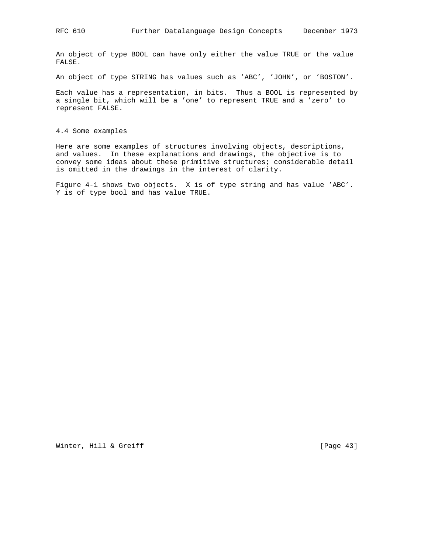An object of type BOOL can have only either the value TRUE or the value FALSE.

An object of type STRING has values such as 'ABC', 'JOHN', or 'BOSTON'.

Each value has a representation, in bits. Thus a BOOL is represented by a single bit, which will be a 'one' to represent TRUE and a 'zero' to represent FALSE.

4.4 Some examples

Here are some examples of structures involving objects, descriptions, and values. In these explanations and drawings, the objective is to convey some ideas about these primitive structures; considerable detail is omitted in the drawings in the interest of clarity.

Figure 4-1 shows two objects. X is of type string and has value 'ABC'. Y is of type bool and has value TRUE.

Winter, Hill & Greiff [Page 43]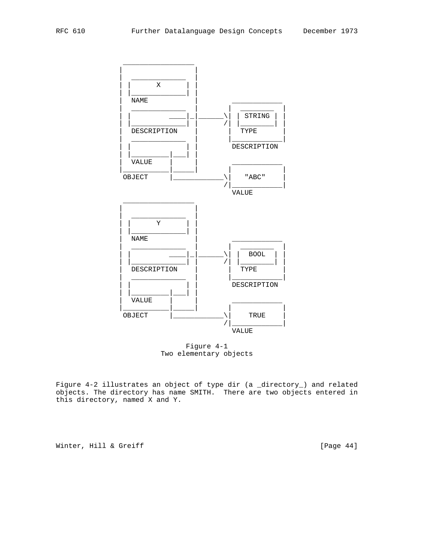

 Figure 4-1 Two elementary objects

Figure 4-2 illustrates an object of type dir (a \_directory\_) and related objects. The directory has name SMITH. There are two objects entered in this directory, named X and Y.

Winter, Hill & Greiff [Page 44]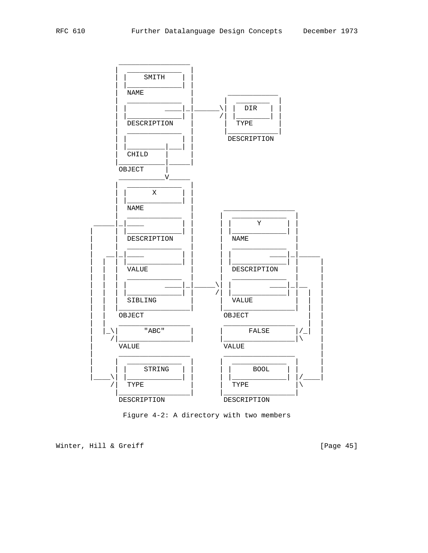

Figure 4-2: A directory with two members

Winter, Hill & Greiff

[Page 45]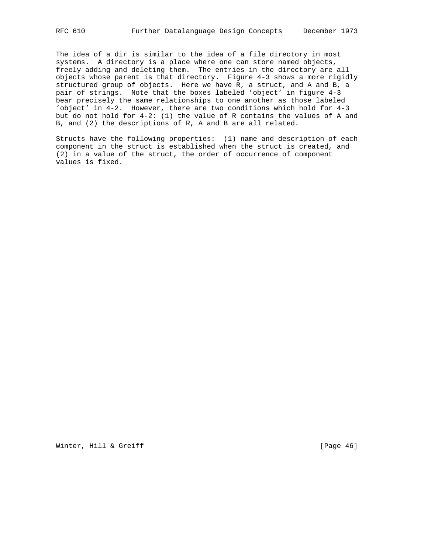The idea of a dir is similar to the idea of a file directory in most systems. A directory is a place where one can store named objects, freely adding and deleting them. The entries in the directory are all objects whose parent is that directory. Figure 4-3 shows a more rigidly structured group of objects. Here we have R, a struct, and A and B, a pair of strings. Note that the boxes labeled 'object' in figure 4-3 bear precisely the same relationships to one another as those labeled 'object' in 4-2. However, there are two conditions which hold for 4-3 but do not hold for 4-2: (1) the value of R contains the values of A and B, and (2) the descriptions of R, A and B are all related.

Structs have the following properties: (1) name and description of each component in the struct is established when the struct is created, and (2) in a value of the struct, the order of occurrence of component values is fixed.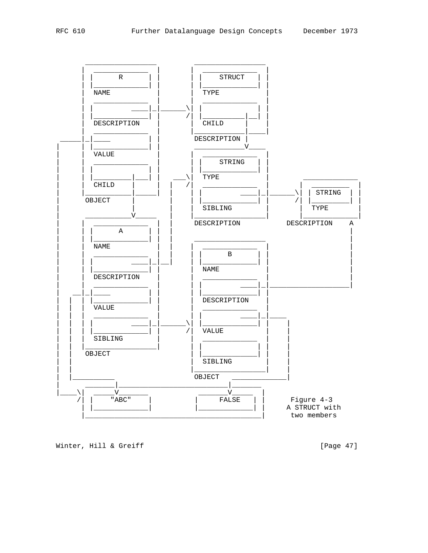

Winter, Hill & Greiff

[Page 47]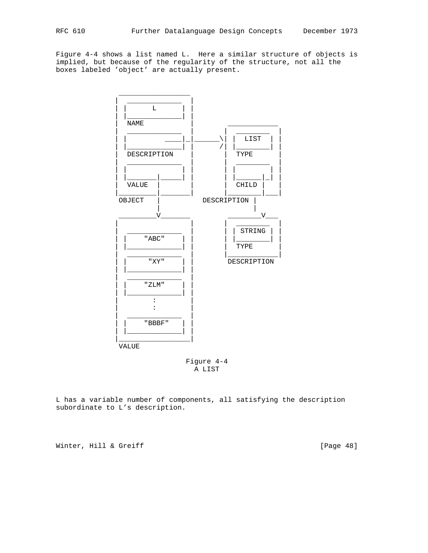Figure 4-4 shows a list named L. Here a similar structure of objects is implied, but because of the regularity of the structure, not all the boxes labeled 'object' are actually present.



 Figure 4-4 A LIST

L has a variable number of components, all satisfying the description subordinate to L's description.

Winter, Hill & Greiff [Page 48]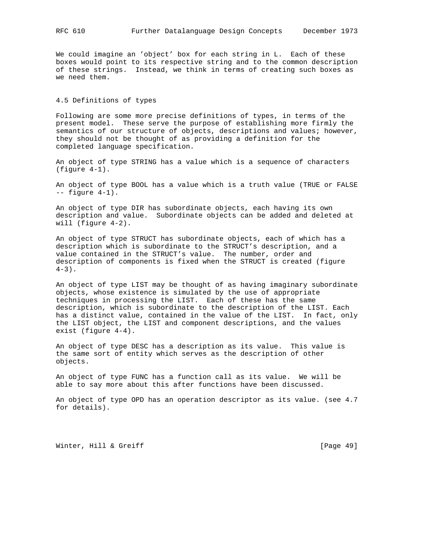We could imagine an 'object' box for each string in L. Each of these boxes would point to its respective string and to the common description of these strings. Instead, we think in terms of creating such boxes as we need them.

# 4.5 Definitions of types

Following are some more precise definitions of types, in terms of the present model. These serve the purpose of establishing more firmly the semantics of our structure of objects, descriptions and values; however, they should not be thought of as providing a definition for the completed language specification.

An object of type STRING has a value which is a sequence of characters (figure 4-1).

An object of type BOOL has a value which is a truth value (TRUE or FALSE -- figure 4-1).

An object of type DIR has subordinate objects, each having its own description and value. Subordinate objects can be added and deleted at will (figure 4-2).

An object of type STRUCT has subordinate objects, each of which has a description which is subordinate to the STRUCT's description, and a value contained in the STRUCT's value. The number, order and description of components is fixed when the STRUCT is created (figure  $4-3$ ).

An object of type LIST may be thought of as having imaginary subordinate objects, whose existence is simulated by the use of appropriate techniques in processing the LIST. Each of these has the same description, which is subordinate to the description of the LIST. Each has a distinct value, contained in the value of the LIST. In fact, only the LIST object, the LIST and component descriptions, and the values exist (figure 4-4).

An object of type DESC has a description as its value. This value is the same sort of entity which serves as the description of other objects.

An object of type FUNC has a function call as its value. We will be able to say more about this after functions have been discussed.

An object of type OPD has an operation descriptor as its value. (see 4.7 for details).

Winter, Hill & Greiff [Page 49]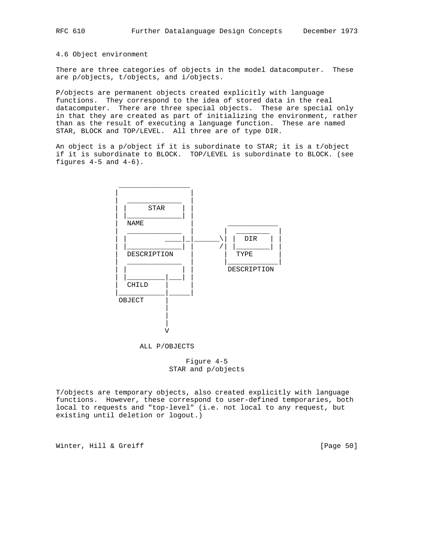# 4.6 Object environment

There are three categories of objects in the model datacomputer. These are p/objects, t/objects, and i/objects.

P/objects are permanent objects created explicitly with language functions. They correspond to the idea of stored data in the real datacomputer. There are three special objects. These are special only in that they are created as part of initializing the environment, rather than as the result of executing a language function. These are named STAR, BLOCK and TOP/LEVEL. All three are of type DIR.

An object is a p/object if it is subordinate to STAR; it is a t/object if it is subordinate to BLOCK. TOP/LEVEL is subordinate to BLOCK. (see figures  $4-5$  and  $4-6$ ).



ALL P/OBJECTS

 Figure 4-5 STAR and p/objects

T/objects are temporary objects, also created explicitly with language functions. However, these correspond to user-defined temporaries, both local to requests and "top-level" (i.e. not local to any request, but existing until deletion or logout.)

Winter, Hill & Greiff [Page 50]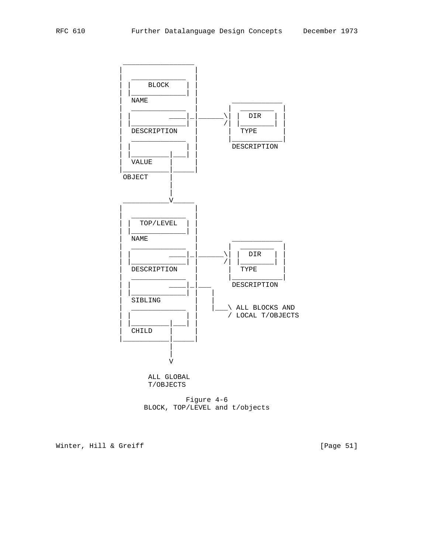

 Figure 4-6 BLOCK, TOP/LEVEL and t/objects

Winter, Hill & Greiff [Page 51]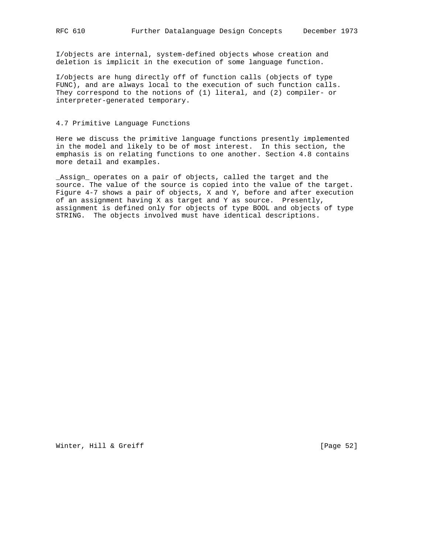I/objects are internal, system-defined objects whose creation and deletion is implicit in the execution of some language function.

I/objects are hung directly off of function calls (objects of type FUNC), and are always local to the execution of such function calls. They correspond to the notions of (1) literal, and (2) compiler- or interpreter-generated temporary.

## 4.7 Primitive Language Functions

Here we discuss the primitive language functions presently implemented in the model and likely to be of most interest. In this section, the emphasis is on relating functions to one another. Section 4.8 contains more detail and examples.

\_Assign\_ operates on a pair of objects, called the target and the source. The value of the source is copied into the value of the target. Figure 4-7 shows a pair of objects, X and Y, before and after execution of an assignment having X as target and Y as source. Presently, assignment is defined only for objects of type BOOL and objects of type STRING. The objects involved must have identical descriptions.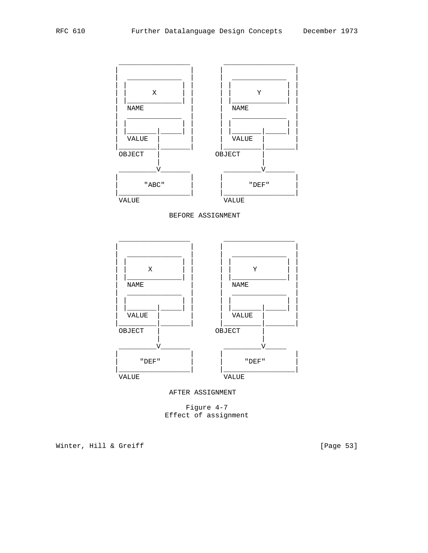

AFTER ASSIGNMENT

Figure 4-7 Effect of assignment

Winter, Hill & Greiff

[Page 53]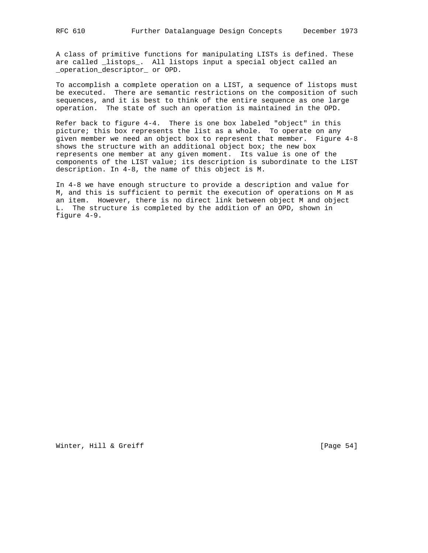A class of primitive functions for manipulating LISTs is defined. These are called \_listops\_. All listops input a special object called an \_operation\_descriptor\_ or OPD.

To accomplish a complete operation on a LIST, a sequence of listops must be executed. There are semantic restrictions on the composition of such sequences, and it is best to think of the entire sequence as one large operation. The state of such an operation is maintained in the OPD.

Refer back to figure 4-4. There is one box labeled "object" in this picture; this box represents the list as a whole. To operate on any given member we need an object box to represent that member. Figure 4-8 shows the structure with an additional object box; the new box represents one member at any given moment. Its value is one of the components of the LIST value; its description is subordinate to the LIST description. In 4-8, the name of this object is M.

In 4-8 we have enough structure to provide a description and value for M, and this is sufficient to permit the execution of operations on M as an item. However, there is no direct link between object M and object L. The structure is completed by the addition of an OPD, shown in figure 4-9.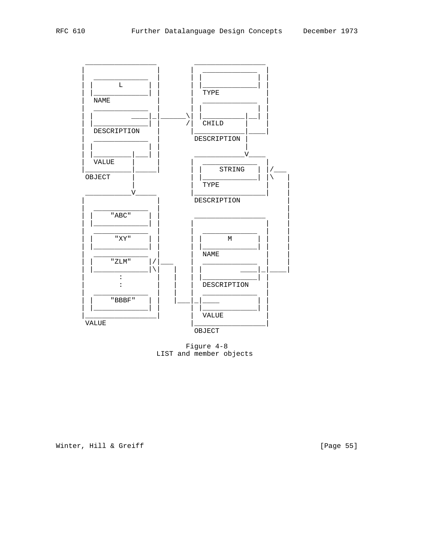

Figure 4-8 LIST and member objects

Winter, Hill & Greiff

[Page 55]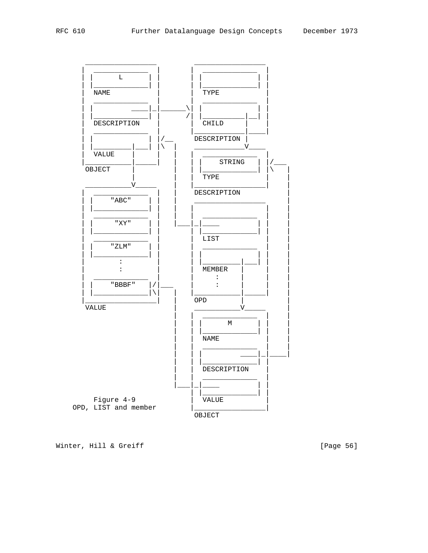

Winter, Hill & Greiff

[Page 56]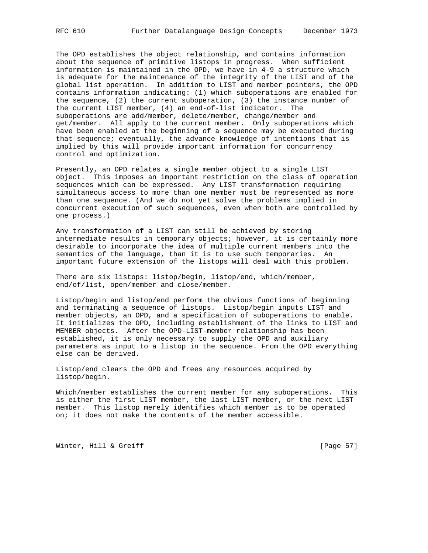The OPD establishes the object relationship, and contains information about the sequence of primitive listops in progress. When sufficient information is maintained in the OPD, we have in 4-9 a structure which is adequate for the maintenance of the integrity of the LIST and of the global list operation. In addition to LIST and member pointers, the OPD contains information indicating: (1) which suboperations are enabled for the sequence, (2) the current suboperation, (3) the instance number of the current LIST member, (4) an end-of-list indicator. The suboperations are add/member, delete/member, change/member and get/member. All apply to the current member. Only suboperations which have been enabled at the beginning of a sequence may be executed during that sequence; eventually, the advance knowledge of intentions that is implied by this will provide important information for concurrency control and optimization.

Presently, an OPD relates a single member object to a single LIST object. This imposes an important restriction on the class of operation sequences which can be expressed. Any LIST transformation requiring simultaneous access to more than one member must be represented as more than one sequence. (And we do not yet solve the problems implied in concurrent execution of such sequences, even when both are controlled by one process.)

Any transformation of a LIST can still be achieved by storing intermediate results in temporary objects; however, it is certainly more desirable to incorporate the idea of multiple current members into the semantics of the language, than it is to use such temporaries. An important future extension of the listops will deal with this problem.

There are six listops: listop/begin, listop/end, which/member, end/of/list, open/member and close/member.

Listop/begin and listop/end perform the obvious functions of beginning and terminating a sequence of listops. Listop/begin inputs LIST and member objects, an OPD, and a specification of suboperations to enable. It initializes the OPD, including establishment of the links to LIST and MEMBER objects. After the OPD-LIST-member relationship has been established, it is only necessary to supply the OPD and auxiliary parameters as input to a listop in the sequence. From the OPD everything else can be derived.

Listop/end clears the OPD and frees any resources acquired by listop/begin.

Which/member establishes the current member for any suboperations. This is either the first LIST member, the last LIST member, or the next LIST member. This listop merely identifies which member is to be operated on; it does not make the contents of the member accessible.

Winter, Hill & Greiff [Page 57]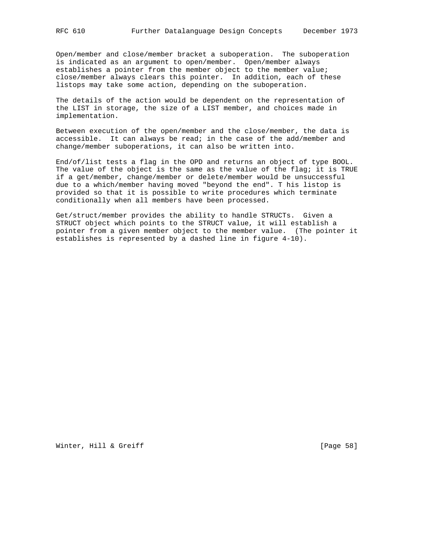Open/member and close/member bracket a suboperation. The suboperation is indicated as an argument to open/member. Open/member always establishes a pointer from the member object to the member value; close/member always clears this pointer. In addition, each of these listops may take some action, depending on the suboperation.

The details of the action would be dependent on the representation of the LIST in storage, the size of a LIST member, and choices made in implementation.

Between execution of the open/member and the close/member, the data is accessible. It can always be read; in the case of the add/member and change/member suboperations, it can also be written into.

End/of/list tests a flag in the OPD and returns an object of type BOOL. The value of the object is the same as the value of the flag; it is TRUE if a get/member, change/member or delete/member would be unsuccessful due to a which/member having moved "beyond the end". T his listop is provided so that it is possible to write procedures which terminate conditionally when all members have been processed.

Get/struct/member provides the ability to handle STRUCTs. Given a STRUCT object which points to the STRUCT value, it will establish a pointer from a given member object to the member value. (The pointer it establishes is represented by a dashed line in figure 4-10).

Winter, Hill & Greiff [Page 58]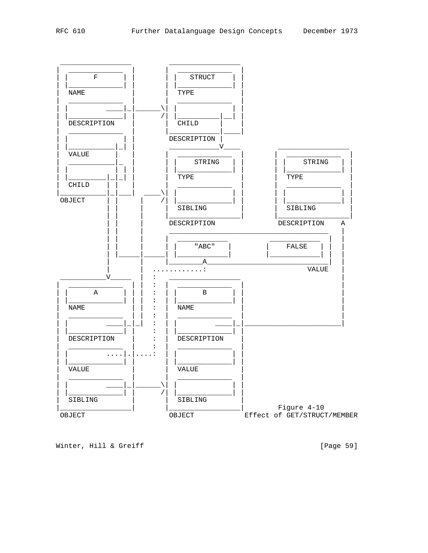

Winter, Hill & Greiff

[Page 59]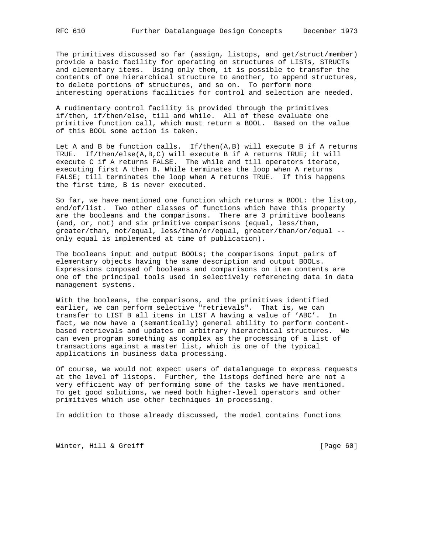The primitives discussed so far (assign, listops, and get/struct/member) provide a basic facility for operating on structures of LISTs, STRUCTs and elementary items. Using only them, it is possible to transfer the contents of one hierarchical structure to another, to append structures, to delete portions of structures, and so on. To perform more interesting operations facilities for control and selection are needed.

A rudimentary control facility is provided through the primitives if/then, if/then/else, till and while. All of these evaluate one primitive function call, which must return a BOOL. Based on the value of this BOOL some action is taken.

Let A and B be function calls.  $If/then(A,B)$  will execute B if A returns TRUE. If/then/else(A,B,C) will execute B if A returns TRUE; it will execute C if A returns FALSE. The while and till operators iterate, executing first A then B. While terminates the loop when A returns FALSE; till terminates the loop when A returns TRUE. If this happens the first time, B is never executed.

So far, we have mentioned one function which returns a BOOL: the listop, end/of/list. Two other classes of functions which have this property are the booleans and the comparisons. There are 3 primitive booleans (and, or, not) and six primitive comparisons (equal, less/than, greater/than, not/equal, less/than/or/equal, greater/than/or/equal - only equal is implemented at time of publication).

The booleans input and output BOOLs; the comparisons input pairs of elementary objects having the same description and output BOOLs. Expressions composed of booleans and comparisons on item contents are one of the principal tools used in selectively referencing data in data management systems.

With the booleans, the comparisons, and the primitives identified earlier, we can perform selective "retrievals". That is, we can transfer to LIST B all items in LIST A having a value of 'ABC'. In fact, we now have a (semantically) general ability to perform contentbased retrievals and updates on arbitrary hierarchical structures. We can even program something as complex as the processing of a list of transactions against a master list, which is one of the typical applications in business data processing.

Of course, we would not expect users of datalanguage to express requests at the level of listops. Further, the listops defined here are not a very efficient way of performing some of the tasks we have mentioned. To get good solutions, we need both higher-level operators and other primitives which use other techniques in processing.

In addition to those already discussed, the model contains functions

Winter, Hill & Greiff [Page 60]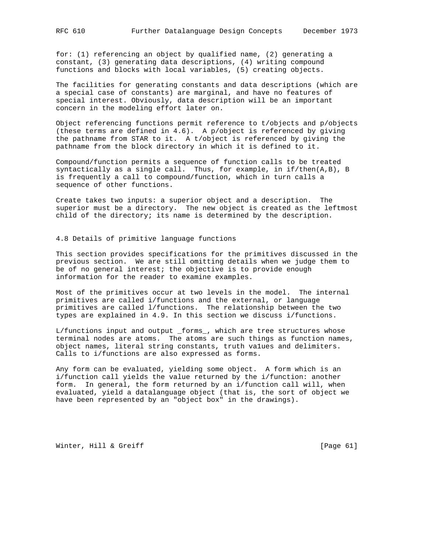for: (1) referencing an object by qualified name, (2) generating a constant, (3) generating data descriptions, (4) writing compound functions and blocks with local variables, (5) creating objects.

The facilities for generating constants and data descriptions (which are a special case of constants) are marginal, and have no features of special interest. Obviously, data description will be an important concern in the modeling effort later on.

Object referencing functions permit reference to t/objects and p/objects (these terms are defined in 4.6). A p/object is referenced by giving the pathname from STAR to it. A t/object is referenced by giving the pathname from the block directory in which it is defined to it.

Compound/function permits a sequence of function calls to be treated syntactically as a single call. Thus, for example, in  $if/then(A,B)$ , B is frequently a call to compound/function, which in turn calls a sequence of other functions.

Create takes two inputs: a superior object and a description. The superior must be a directory. The new object is created as the leftmost child of the directory; its name is determined by the description.

## 4.8 Details of primitive language functions

This section provides specifications for the primitives discussed in the previous section. We are still omitting details when we judge them to be of no general interest; the objective is to provide enough information for the reader to examine examples.

Most of the primitives occur at two levels in the model. The internal primitives are called i/functions and the external, or language primitives are called l/functions. The relationship between the two types are explained in 4.9. In this section we discuss i/functions.

L/functions input and output \_forms\_, which are tree structures whose terminal nodes are atoms. The atoms are such things as function names, object names, literal string constants, truth va1ues and delimiters. Calls to i/functions are also expressed as forms.

Any form can be evaluated, yielding some object. A form which is an i/function call yields the value returned by the i/function: another form. In general, the form returned by an i/function call will, when evaluated, yield a datalanguage object (that is, the sort of object we have been represented by an "object box" in the drawings).

Winter, Hill & Greiff [Page 61]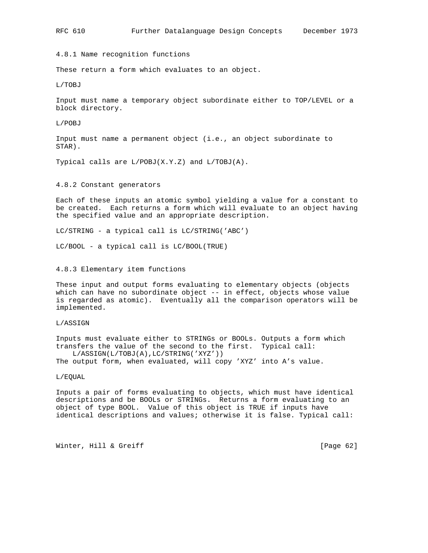4.8.1 Name recognition functions

These return a form which evaluates to an object.

L/TOBJ

Input must name a temporary object subordinate either to TOP/LEVEL or a block directory.

L/POBJ

Input must name a permanent object (i.e., an object subordinate to STAR).

Typical calls are L/POBJ(X.Y.Z) and L/TOBJ(A).

4.8.2 Constant generators

Each of these inputs an atomic symbol yielding a value for a constant to be created. Each returns a form which will evaluate to an object having the specified value and an appropriate description.

LC/STRING - a typical call is LC/STRING('ABC')

LC/BOOL - a typical call is LC/BOOL(TRUE)

4.8.3 Elementary item functions

These input and output forms evaluating to elementary objects (objects which can have no subordinate object -- in effect, objects whose value is regarded as atomic). Eventually all the comparison operators will be implemented.

L/ASSIGN

Inputs must evaluate either to STRINGs or BOOLs. Outputs a form which transfers the value of the second to the first. Typical call: L/ASSIGN(L/TOBJ(A),LC/STRING('XYZ'))

The output form, when evaluated, will copy 'XYZ' into A's value.

L/EQUAL

Inputs a pair of forms evaluating to objects, which must have identical descriptions and be BOOLs or STRINGs. Returns a form evaluating to an object of type BOOL. Value of this object is TRUE if inputs have identical descriptions and values; otherwise it is false. Typical call:

Winter, Hill & Greiff [Page 62]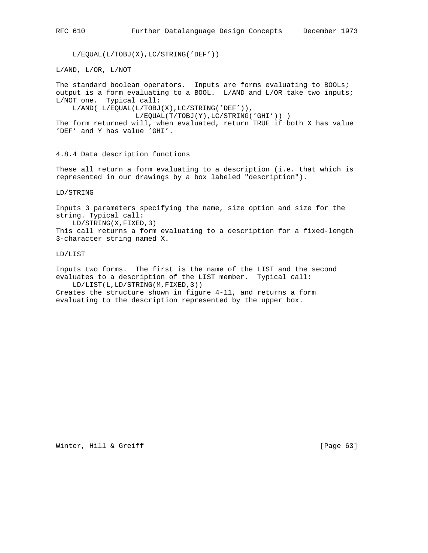L/EQUAL(L/TOBJ(X),LC/STRING('DEF'))

L/AND, L/OR, L/NOT

The standard boolean operators. Inputs are forms evaluating to BOOLs; output is a form evaluating to a BOOL. L/AND and L/OR take two inputs; L/NOT one. Typical call:

L/AND( L/EQUAL(L/TOBJ(X),LC/STRING('DEF')),

L/EQUAL(T/TOBJ(Y),LC/STRING('GHI')) )

The form returned will, when evaluated, return TRUE if both X has value 'DEF' and Y has value 'GHI'.

4.8.4 Data description functions

These all return a form evaluating to a description (i.e. that which is represented in our drawings by a box labeled "description").

LD/STRING

Inputs 3 parameters specifying the name, size option and size for the string. Typical call: LD/STRING(X,FIXED,3) This call returns a form evaluating to a description for a fixed-length 3-character string named X.

LD/LIST

Inputs two forms. The first is the name of the LIST and the second evaluates to a description of the LIST member. Typical call: LD/LIST(L,LD/STRING(M,FIXED,3))

Creates the structure shown in figure 4-11, and returns a form evaluating to the description represented by the upper box.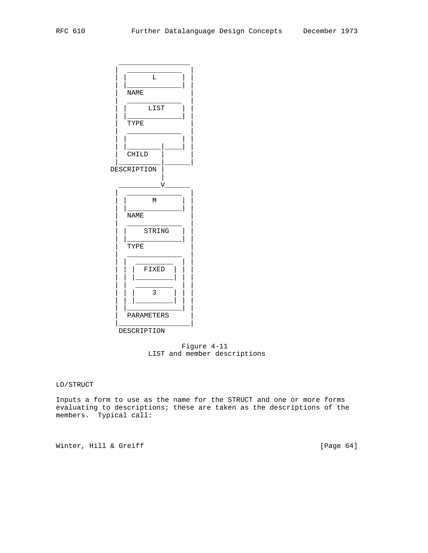

 Figure 4-11 LIST and member descriptions

LD/STRUCT

Inputs a form to use as the name for the STRUCT and one or more forms evaluating to descriptions; these are taken as the descriptions of the members. Typical call:

Winter, Hill & Greiff [Page 64]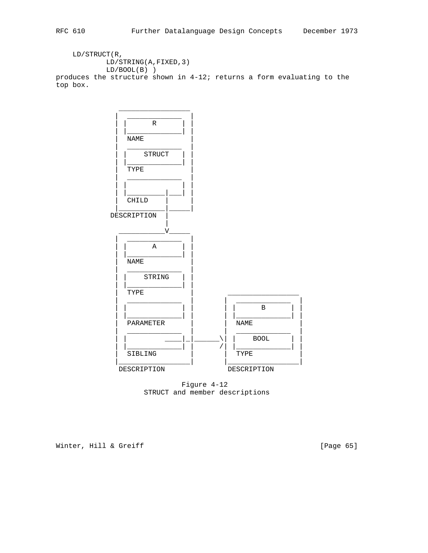LD/STRUCT(R, LD/STRING(A,FIXED,3)  $LD/BOOL(B)$ produces the structure shown in 4-12; returns a form evaluating to the top box.



 Figure 4-12 STRUCT and member descriptions

Winter, Hill & Greiff [Page 65]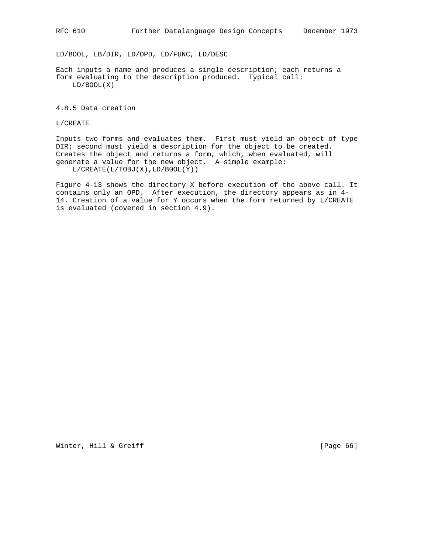LD/BOOL, LB/DIR, LD/OPD, LD/FUNC, LD/DESC

Each inputs a name and produces a single description; each returns a form evaluating to the description produced. Typical call: LD/BOOL(X)

4.8.5 Data creation

L/CREATE

Inputs two forms and evaluates them. First must yield an object of type DIR; second must yield a description for the object to be created. Creates the object and returns a form, which, when evaluated, will generate a value for the new object. A simple example: L/CREATE(L/TOBJ(X),LD/B0OL(Y))

Figure 4-13 shows the directory X before execution of the above call. It contains only an OPD. After execution, the directory appears as in 4- 14. Creation of a value for Y occurs when the form returned by L/CREATE is evaluated (covered in section 4.9).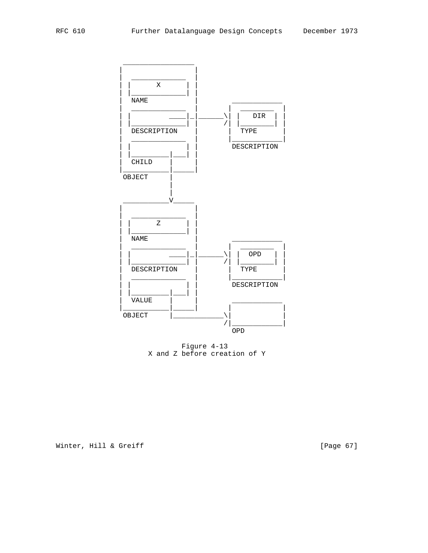

Figure 4-13 X and Z before creation of Y

Winter, Hill & Greiff

[Page 67]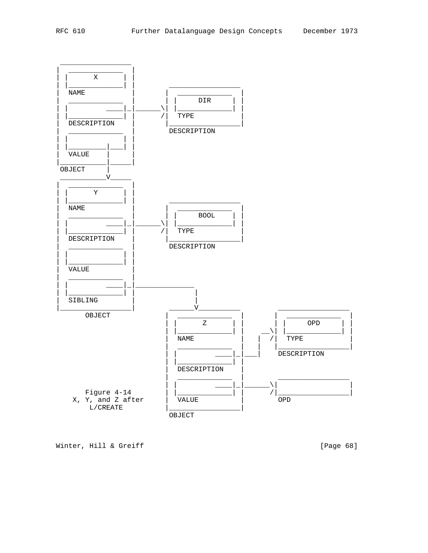

Winter, Hill & Greiff

[Page 68]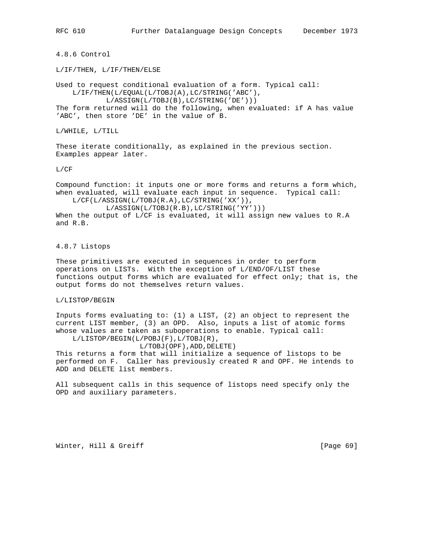RFC 610 Further Datalanguage Design Concepts December 1973

4.8.6 Control

L/IF/THEN, L/IF/THEN/ELSE

Used to request conditional evaluation of a form. Typical call: L/IF/THEN(L/EQUAL(L/TOBJ(A),LC/STRING('ABC'), L/ASSIGN(L/TOBJ(B),LC/STRING('DE'))) The form returned will do the following, when evaluated: if A has value

'ABC', then store 'DE' in the value of B.

L/WHILE, L/TILL

These iterate conditionally, as explained in the previous section. Examples appear later.

L/CF

Compound function: it inputs one or more forms and returns a form which, when evaluated, will evaluate each input in sequence. Typical call: L/CF(L/ASSIGN(L/TOBJ(R.A),LC/STRING('XX')),

 L/ASSIGN(L/TOBJ(R.B),LC/STRING('YY'))) When the output of L/CF is evaluated, it will assign new values to R.A and R.B.

4.8.7 Listops

These primitives are executed in sequences in order to perform operations on LISTs. With the exception of L/END/OF/LIST these functions output forms which are evaluated for effect only; that is, the output forms do not themselves return values.

L/LISTOP/BEGIN

Inputs forms evaluating to: (1) a LIST, (2) an object to represent the current LIST member, (3) an OPD. Also, inputs a list of atomic forms whose values are taken as suboperations to enable. Typical call: L/LISTOP/BEGIN(L/POBJ(F),L/TOBJ(R),

L/TOBJ(OPF),ADD,DELETE)

This returns a form that will initialize a sequence of listops to be performed on F. Caller has previously created R and OPF. He intends to ADD and DELETE list members.

All subsequent calls in this sequence of listops need specify only the OPD and auxiliary parameters.

Winter, Hill & Greiff [Page 69]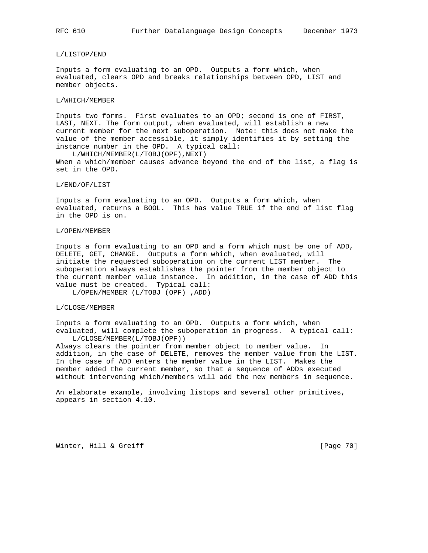#### L/LISTOP/END

Inputs a form evaluating to an OPD. Outputs a form which, when evaluated, clears OPD and breaks relationships between OPD, LIST and member objects.

### L/WHICH/MEMBER

Inputs two forms. First evaluates to an OPD; second is one of FIRST, LAST, NEXT. The form output, when evaluated, will establish a new current member for the next suboperation. Note: this does not make the value of the member accessible, it simply identifies it by setting the instance number in the OPD. A typical call:

 L/WHICH/MEMBER(L/TOBJ(OPF),NEXT) When a which/member causes advance beyond the end of the list, a flag is set in the OPD.

#### L/END/OF/LIST

Inputs a form evaluating to an OPD. Outputs a form which, when evaluated, returns a BOOL. This has value TRUE if the end of list flag in the OPD is on.

### L/OPEN/MEMBER

Inputs a form evaluating to an OPD and a form which must be one of ADD, DELETE, GET, CHANGE. Outputs a form which, when evaluated, will initiate the requested suboperation on the current LIST member. The suboperation always establishes the pointer from the member object to the current member value instance. In addition, in the case of ADD this value must be created. Typical call:

L/OPEN/MEMBER (L/TOBJ (OPF) ,ADD)

#### L/CLOSE/MEMBER

Inputs a form evaluating to an OPD. Outputs a form which, when evaluated, will complete the suboperation in progress. A typical call: L/CLOSE/MEMBER(L/TOBJ(OPF))

Always clears the pointer from member object to member value. In addition, in the case of DELETE, removes the member value from the LIST. In the case of ADD enters the member value in the LIST. Makes the member added the current member, so that a sequence of ADDs executed without intervening which/members will add the new members in sequence.

An elaborate example, involving listops and several other primitives, appears in section 4.10.

Winter, Hill & Greiff [Page 70]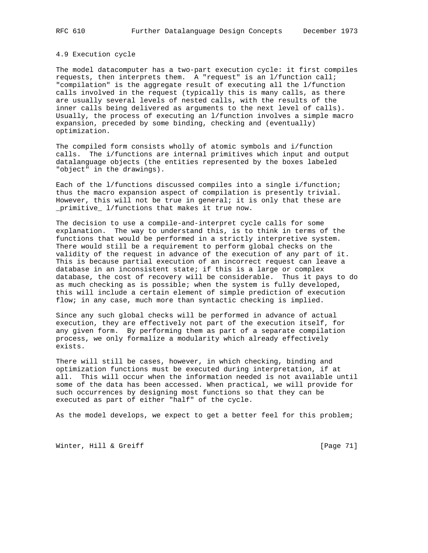## 4.9 Execution cycle

The model datacomputer has a two-part execution cycle: it first compiles requests, then interprets them. A "request" is an l/function call; "compilation" is the aggregate result of executing all the l/function calls involved in the request (typically this is many calls, as there are usually several levels of nested calls, with the results of the inner calls being delivered as arguments to the next level of calls). Usually, the process of executing an l/function involves a simple macro expansion, preceded by some binding, checking and (eventually) optimization.

The compiled form consists wholly of atomic symbols and i/function calls. The i/functions are internal primitives which input and output datalanguage objects (the entities represented by the boxes labeled "object" in the drawings).

Each of the l/functions discussed compiles into a single i/function; thus the macro expansion aspect of compilation is presently trivial. However, this will not be true in general; it is only that these are \_primitive\_ l/functions that makes it true now.

The decision to use a compile-and-interpret cycle calls for some explanation. The way to understand this, is to think in terms of the functions that would be performed in a strictly interpretive system. There would still be a requirement to perform global checks on the validity of the request in advance of the execution of any part of it. This is because partial execution of an incorrect request can leave a database in an inconsistent state; if this is a large or complex database, the cost of recovery will be considerable. Thus it pays to do as much checking as is possible; when the system is fully developed, this will include a certain element of simple prediction of execution flow; in any case, much more than syntactic checking is implied.

Since any such global checks will be performed in advance of actual execution, they are effectively not part of the execution itself, for any given form. By performing them as part of a separate compilation process, we only formalize a modularity which already effectively exists.

There will still be cases, however, in which checking, binding and optimization functions must be executed during interpretation, if at all. This will occur when the information needed is not available until some of the data has been accessed. When practical, we will provide for such occurrences by designing most functions so that they can be executed as part of either "half" of the cycle.

As the model develops, we expect to get a better feel for this problem;

Winter, Hill & Greiff [Page 71]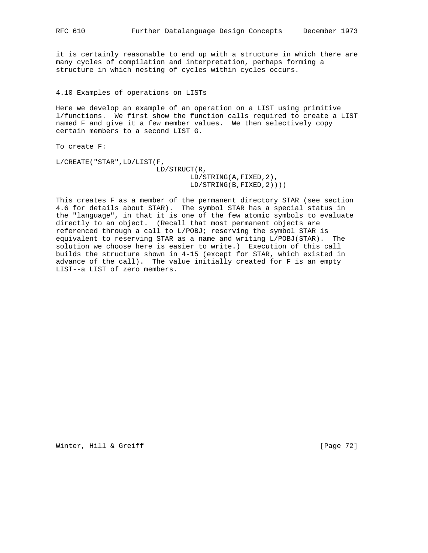it is certainly reasonable to end up with a structure in which there are many cycles of compilation and interpretation, perhaps forming a structure in which nesting of cycles within cycles occurs.

4.10 Examples of operations on LISTs

Here we develop an example of an operation on a LIST using primitive l/functions. We first show the function calls required to create a LIST named F and give it a few member values. We then selectively copy certain members to a second LIST G.

To create F:

L/CREATE("STAR",LD/LIST(F, LD/STRUCT(R, LD/STRING(A,FIXED,2), LD/STRING(B,FIXED,2))))

This creates F as a member of the permanent directory STAR (see section 4.6 for details about STAR). The symbol STAR has a special status in the "language", in that it is one of the few atomic symbols to evaluate directly to an object. (Recall that most permanent objects are referenced through a call to L/POBJ; reserving the symbol STAR is equivalent to reserving STAR as a name and writing L/POBJ(STAR). The solution we choose here is easier to write.) Execution of this call builds the structure shown in 4-15 (except for STAR, which existed in advance of the call). The value initially created for F is an empty LIST--a LIST of zero members.

Winter, Hill & Greiff [Page 72]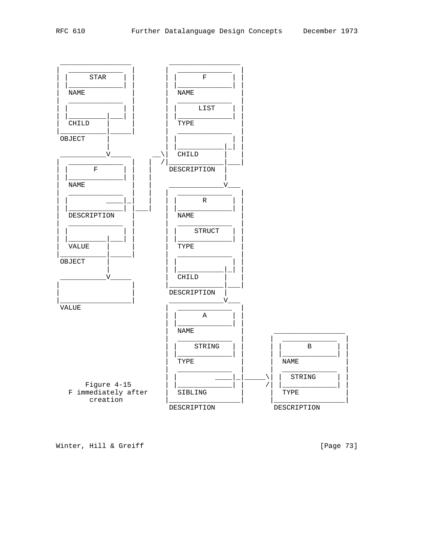

[Page 73]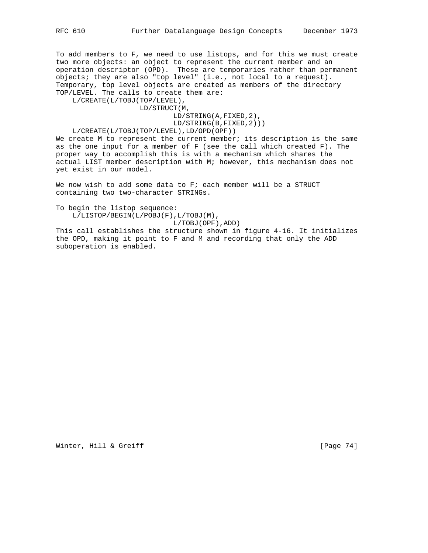To add members to F, we need to use listops, and for this we must create two more objects: an object to represent the current member and an operation descriptor (OPD). These are temporaries rather than permanent objects; they are also "top level" (i.e., not local to a request). Temporary, top level objects are created as members of the directory TOP/LEVEL. The calls to create them are:

L/CREATE(L/TOBJ(TOP/LEVEL),

LD/STRUCT(M,

LD/STRING(A,FIXED,2),

LD/STRING(B,FIXED,2)))

L/CREATE(L/TOBJ(TOP/LEVEL),LD/OPD(OPF))

We create M to represent the current member; its description is the same as the one input for a member of F (see the call which created F). The proper way to accomplish this is with a mechanism which shares the actual LIST member description with M; however, this mechanism does not yet exist in our model.

We now wish to add some data to F; each member will be a STRUCT containing two two-character STRINGs.

To begin the listop sequence: L/LISTOP/BEGIN(L/POBJ(F),L/TOBJ(M), L/TOBJ(OPF),ADD)

This call establishes the structure shown in figure 4-16. It initializes the OPD, making it point to F and M and recording that only the ADD suboperation is enabled.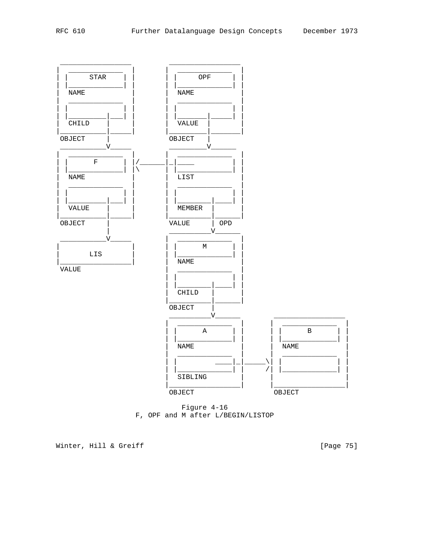

Figure 4-16 F, OPF and M after L/BEGIN/LISTOP

[Page 75]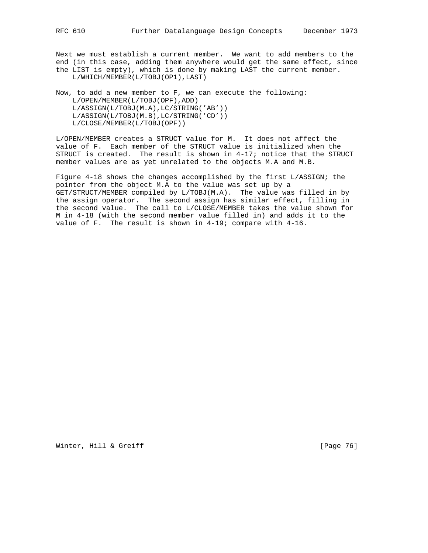Next we must establish a current member. We want to add members to the end (in this case, adding them anywhere would get the same effect, since the LIST is empty), which is done by making LAST the current member. L/WHICH/MEMBER(L/TOBJ(OP1),LAST)

Now, to add a new member to F, we can execute the following: L/OPEN/MEMBER(L/TOBJ(OPF),ADD) L/ASSIGN(L/TOBJ(M.A),LC/STRING('AB')) L/ASSIGN(L/TOBJ(M.B),LC/STRING('CD')) L/CLOSE/MEMBER(L/TOBJ(OPF))

L/OPEN/MEMBER creates a STRUCT value for M. It does not affect the value of F. Each member of the STRUCT value is initialized when the STRUCT is created. The result is shown in 4-17; notice that the STRUCT member values are as yet unrelated to the objects M.A and M.B.

Figure 4-18 shows the changes accomplished by the first L/ASSIGN; the pointer from the object M.A to the value was set up by a GET/STRUCT/MEMBER compiled by L/TOBJ(M.A). The value was filled in by the assign operator. The second assign has similar effect, filling in the second value. The call to L/CLOSE/MEMBER takes the value shown for M in 4-18 (with the second member value filled in) and adds it to the value of F. The result is shown in 4-19; compare with 4-16.

Winter, Hill & Greiff [Page 76]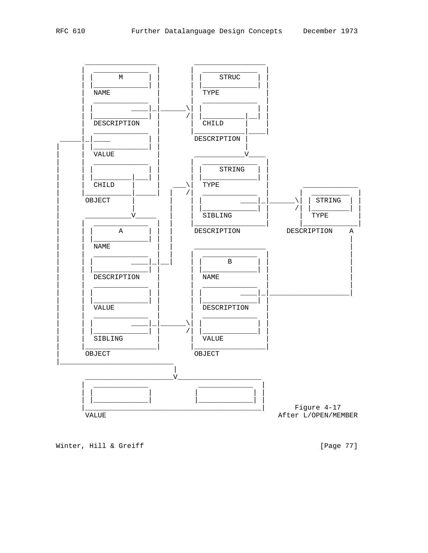

[Page 77]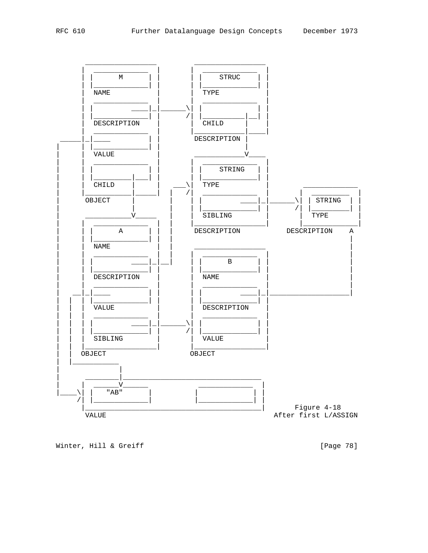

Winter, Hill & Greiff

[Page 78]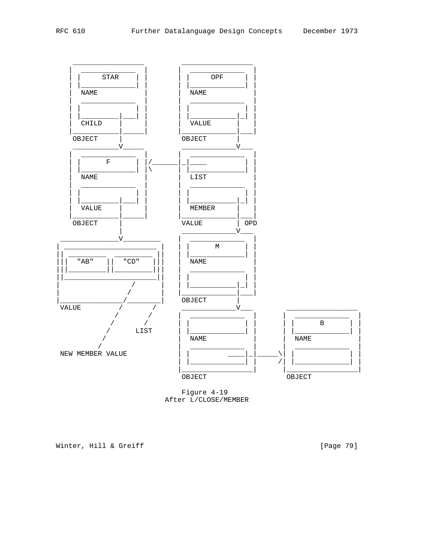

Figure 4-19 After L/CLOSE/MEMBER

[Page 79]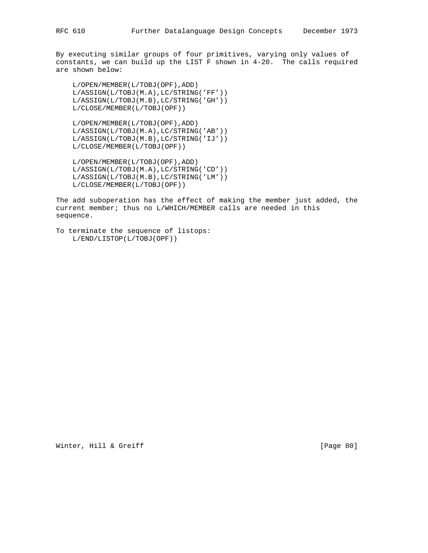By executing similar groups of four primitives, varying only values of constants, we can build up the LIST F shown in 4-20. The calls required are shown below:

 L/OPEN/MEMBER(L/TOBJ(OPF),ADD) L/ASSIGN(L/TOBJ(M.A),LC/STRING('FF')) L/ASSIGN(L/TOBJ(M.B),LC/STRING('GH')) L/CLOSE/MEMBER(L/TOBJ(OPF))

 L/OPEN/MEMBER(L/TOBJ(OPF),ADD) L/ASSIGN(L/TOBJ(M.A),LC/STRING('AB')) L/ASSIGN(L/TOBJ(M.B),LC/STRING('IJ')) L/CLOSE/MEMBER(L/TOBJ(OPF))

 L/OPEN/MEMBER(L/TOBJ(OPF),ADD) L/ASSIGN(L/TOBJ(M.A),LC/STRING('CD')) L/ASSIGN(L/TOBJ(M.B),LC/STRING('LM')) L/CLOSE/MEMBER(L/TOBJ(OPF))

The add suboperation has the effect of making the member just added, the current member; thus no L/WHICH/MEMBER calls are needed in this sequence.

```
To terminate the sequence of listops:
L/END/LISTOP(L/TOBJ(OPF))
```
Winter, Hill & Greiff [Page 80]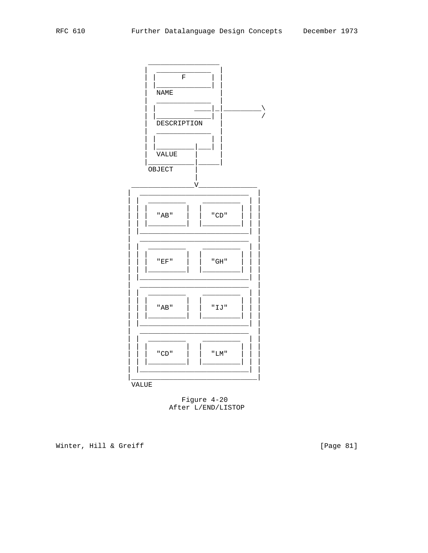

Figure 4-20 After L/END/LISTOP

Winter, Hill & Greiff

[Page 81]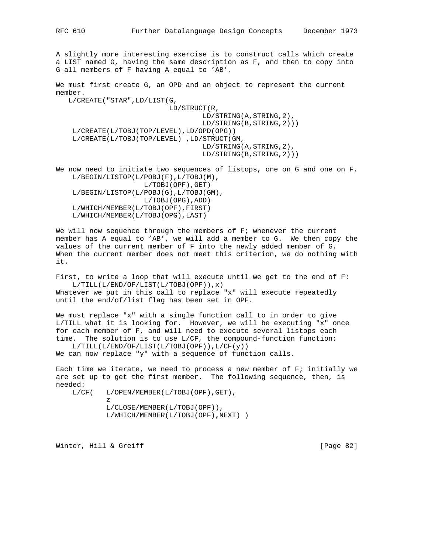A slightly more interesting exercise is to construct calls which create a LIST named G, having the same description as F, and then to copy into G all members of F having A equal to 'AB'.

We must first create G, an OPD and an object to represent the current member.

 L/CREATE("STAR",LD/LIST(G, LD/STRUCT(R, LD/STRING(A,STRING,2), LD/STRING(B,STRING,2))) L/CREATE(L/TOBJ(TOP/LEVEL),LD/OPD(OPG)) L/CREATE(L/TOBJ(TOP/LEVEL) ,LD/STRUCT(GM, LD/STRING(A,STRING,2), LD/STRING(B,STRING,2)))

We now need to initiate two sequences of listops, one on G and one on F. L/BEGIN/LISTOP(L/POBJ(F),L/TOBJ(M), L/TOBJ(OPF),GET) L/BEGIN/LISTOP(L/POBJ(G),L/TOBJ(GM), L/TOBJ(OPG),ADD) L/WHICH/MEMBER(L/TOBJ(OPF),FIRST) L/WHICH/MEMBER(L/TOBJ(OPG),LAST)

We will now sequence through the members of F; whenever the current member has A equal to 'AB', we will add a member to G. We then copy the values of the current member of F into the newly added member of G. When the current member does not meet this criterion, we do nothing with it.

First, to write a loop that will execute until we get to the end of F: L/TILL(L/END/OF/LIST(L/TOBJ(OPF)),x) Whatever we put in this call to replace "x" will execute repeatedly until the end/of/list flag has been set in OPF.

We must replace "x" with a single function call to in order to give L/TILL what it is looking for. However, we will be executing "x" once for each member of F, and will need to execute several listops each time. The solution is to use L/CF, the compound-function function: L/TILL(L/END/OF/LIST(L/TOBJ(OPF)),L/CF(y))

We can now replace "y" with a sequence of function calls.

Each time we iterate, we need to process a new member of F; initially we are set up to get the first member. The following sequence, then, is needed:

 L/CF( L/OPEN/MEMBER(L/TOBJ(OPF),GET), z<br>Z

 L/CLOSE/MEMBER(L/TOBJ(OPF)), L/WHICH/MEMBER(L/TOBJ(OPF),NEXT) )

Winter, Hill & Greiff [Page 82]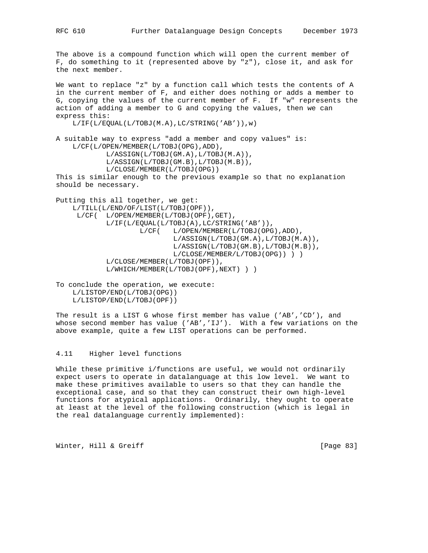The above is a compound function which will open the current member of F, do something to it (represented above by "z"), close it, and ask for the next member.

We want to replace "z" by a function call which tests the contents of A in the current member of F, and either does nothing or adds a member to G, copying the values of the current member of F. If "w" represents the action of adding a member to G and copying the values, then we can express this:

L/IF(L/EQUAL(L/TOBJ(M.A),LC/STRING('AB')),w)

A suitable way to express "add a member and copy values" is: L/CF(L/OPEN/MEMBER(L/TOBJ(OPG),ADD), L/ASSIGN(L/TOBJ(GM.A),L/TOBJ(M.A)), L/ASSIGN(L/TOBJ(GM.B),L/TOBJ(M.B)), L/CLOSE/MEMBER(L/TOBJ(OPG)) This is similar enough to the previous example so that no explanation should be necessary.

Putting this all together, we get: L/TILL(L/END/OF/LIST(L/TOBJ(OPF)), L/CF( L/OPEN/MEMBER(L/TOBJ(OPF),GET), L/IF(L/EQUAL(L/TOBJ(A),LC/STRING('AB')), L/CF( L/OPEN/MEMBER(L/TOBJ(OPG),ADD), L/ASSIGN(L/TOBJ(GM.A),L/TOBJ(M.A)), L/ASSIGN(L/TOBJ(GM.B),L/TOBJ(M.B)), L/CLOSE/MEMBER/L/TOBJ(OPG)) ) ) L/CLOSE/MEMBER(L/TOBJ(OPF)), L/WHICH/MEMBER(L/TOBJ(OPF),NEXT) ) )

To conclude the operation, we execute: L/LISTOP/END(L/TOBJ(OPG)) L/LISTOP/END(L/TOBJ(OPF))

The result is a LIST G whose first member has value ('AB','CD'), and whose second member has value ('AB','IJ'). With a few variations on the above example, quite a few LIST operations can be performed.

### 4.11 Higher level functions

While these primitive i/functions are useful, we would not ordinarily expect users to operate in datalanguage at this low level. We want to make these primitives available to users so that they can handle the exceptional case, and so that they can construct their own high-level functions for atypical applications. Ordinarily, they ought to operate at least at the level of the following construction (which is legal in the real datalanguage currently implemented):

Winter, Hill & Greiff [Page 83]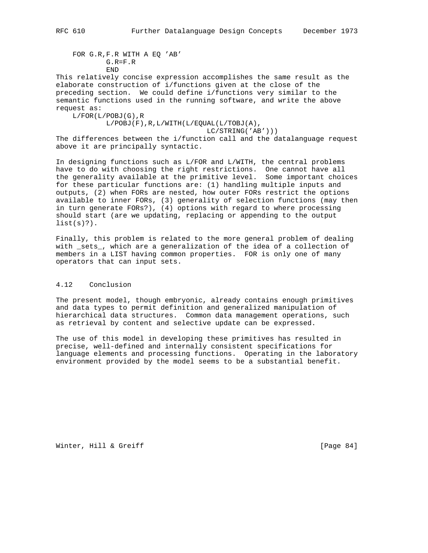FOR G.R,F.R WITH A EQ 'AB' G.R=F.R END

This relatively concise expression accomplishes the same result as the elaborate construction of i/functions given at the close of the preceding section. We could define i/functions very similar to the semantic functions used in the running software, and write the above request as:

 $L/FOR(L/POBJ(G), R$  L/POBJ(F),R,L/WITH(L/EQUAL(L/TOBJ(A), LC/STRING('AB'))) The differences between the i/function call and the datalanguage request

above it are principally syntactic.

In designing functions such as L/FOR and L/WITH, the central problems have to do with choosing the right restrictions. One cannot have all the generality available at the primitive level. Some important choices for these particular functions are: (1) handling multiple inputs and outputs, (2) when FORs are nested, how outer FORs restrict the options available to inner FORs, (3) generality of selection functions (may then in turn generate FORs?), (4) options with regard to where processing should start (are we updating, replacing or appending to the output  $list(s)?$ .

Finally, this problem is related to the more general problem of dealing with \_sets\_, which are a generalization of the idea of a collection of members in a LIST having common properties. FOR is only one of many operators that can input sets.

# 4.12 Conclusion

The present model, though embryonic, already contains enough primitives and data types to permit definition and generalized manipulation of hierarchical data structures. Common data management operations, such as retrieval by content and selective update can be expressed.

The use of this model in developing these primitives has resulted in precise, well-defined and internally consistent specifications for language elements and processing functions. Operating in the laboratory environment provided by the model seems to be a substantial benefit.

Winter, Hill & Greiff [Page 84]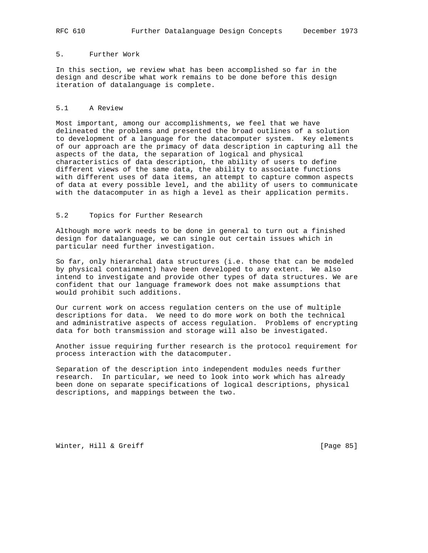# 5. Further Work

In this section, we review what has been accomplished so far in the design and describe what work remains to be done before this design iteration of datalanguage is complete.

### 5.1 A Review

Most important, among our accomplishments, we feel that we have delineated the problems and presented the broad outlines of a solution to development of a language for the datacomputer system. Key elements of our approach are the primacy of data description in capturing all the aspects of the data, the separation of logical and physical characteristics of data description, the ability of users to define different views of the same data, the ability to associate functions with different uses of data items, an attempt to capture common aspects of data at every possible level, and the ability of users to communicate with the datacomputer in as high a level as their application permits.

## 5.2 Topics for Further Research

Although more work needs to be done in general to turn out a finished design for datalanguage, we can single out certain issues which in particular need further investigation.

So far, only hierarchal data structures (i.e. those that can be modeled by physical containment) have been developed to any extent. We also intend to investigate and provide other types of data structures. We are confident that our language framework does not make assumptions that would prohibit such additions.

Our current work on access regulation centers on the use of multiple descriptions for data. We need to do more work on both the technical and administrative aspects of access regulation. Problems of encrypting data for both transmission and storage will also be investigated.

Another issue requiring further research is the protocol requirement for process interaction with the datacomputer.

Separation of the description into independent modules needs further research. In particular, we need to look into work which has already been done on separate specifications of logical descriptions, physical descriptions, and mappings between the two.

Winter, Hill & Greiff [Page 85]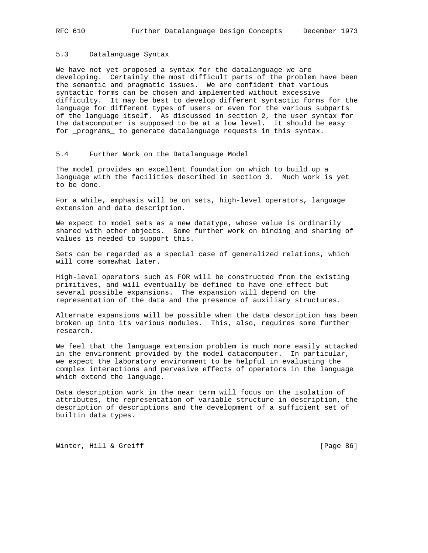### 5.3 Datalanguage Syntax

We have not yet proposed a syntax for the datalanguage we are developing. Certainly the most difficult parts of the problem have been the semantic and pragmatic issues. We are confident that various syntactic forms can be chosen and implemented without excessive difficulty. It may be best to develop different syntactic forms for the language for different types of users or even for the various subparts of the language itself. As discussed in section 2, the user syntax for the datacomputer is supposed to be at a low level. It should be easy for \_programs\_ to generate datalanguage requests in this syntax.

#### 5.4 Further Work on the Datalanguage Model

The model provides an excellent foundation on which to build up a language with the facilities described in section 3. Much work is yet to be done.

For a while, emphasis will be on sets, high-level operators, language extension and data description.

We expect to model sets as a new datatype, whose value is ordinarily shared with other objects. Some further work on binding and sharing of values is needed to support this.

Sets can be regarded as a special case of generalized relations, which will come somewhat later.

High-level operators such as FOR will be constructed from the existing primitives, and will eventually be defined to have one effect but several possible expansions. The expansion will depend on the representation of the data and the presence of auxiliary structures.

Alternate expansions will be possible when the data description has been broken up into its various modules. This, also, requires some further research.

We feel that the language extension problem is much more easily attacked in the environment provided by the model datacomputer. In particular, we expect the laboratory environment to be helpful in evaluating the complex interactions and pervasive effects of operators in the language which extend the language.

Data description work in the near term will focus on the isolation of attributes, the representation of variable structure in description, the description of descriptions and the development of a sufficient set of builtin data types.

Winter, Hill & Greiff [Page 86]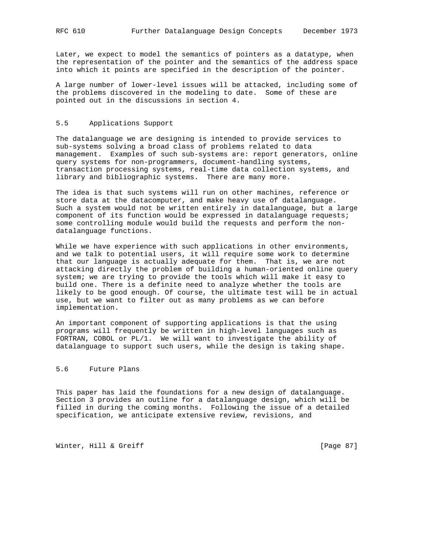Later, we expect to model the semantics of pointers as a datatype, when the representation of the pointer and the semantics of the address space into which it points are specified in the description of the pointer.

A large number of lower-level issues will be attacked, including some of the problems discovered in the modeling to date. Some of these are pointed out in the discussions in section 4.

#### 5.5 Applications Support

The datalanguage we are designing is intended to provide services to sub-systems solving a broad class of problems related to data management. Examples of such sub-systems are: report generators, online query systems for non-programmers, document-handling systems, transaction processing systems, real-time data collection systems, and library and bibliographic systems. There are many more.

The idea is that such systems will run on other machines, reference or store data at the datacomputer, and make heavy use of datalanguage. Such a system would not be written entirely in datalanguage, but a large component of its function would be expressed in datalanguage requests; some controlling module would build the requests and perform the nondatalanguage functions.

While we have experience with such applications in other environments, and we talk to potential users, it will require some work to determine that our language is actually adequate for them. That is, we are not attacking directly the problem of building a human-oriented online query system; we are trying to provide the tools which will make it easy to build one. There is a definite need to analyze whether the tools are likely to be good enough. Of course, the ultimate test will be in actual use, but we want to filter out as many problems as we can before implementation.

An important component of supporting applications is that the using programs will frequently be written in high-level languages such as FORTRAN, COBOL or PL/1. We will want to investigate the ability of datalanguage to support such users, while the design is taking shape.

## 5.6 Future Plans

This paper has laid the foundations for a new design of datalanguage. Section 3 provides an outline for a datalanguage design, which will be filled in during the coming months. Following the issue of a detailed specification, we anticipate extensive review, revisions, and

Winter, Hill & Greiff [Page 87]